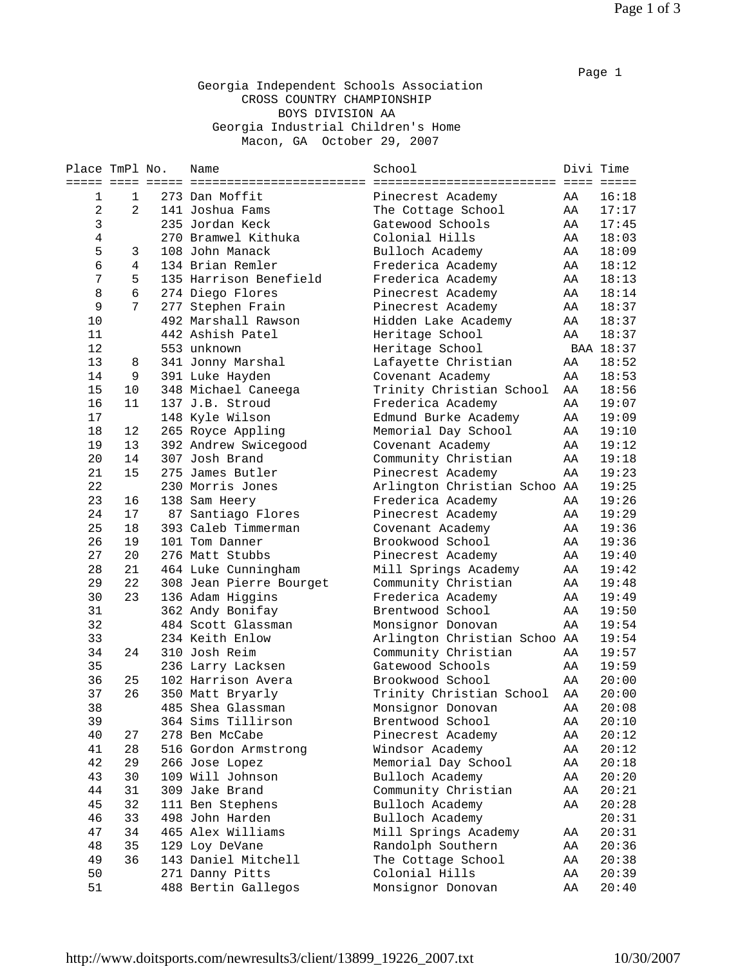## Georgia Independent Schools Association CROSS COUNTRY CHAMPIONSHIP BOYS DIVISION AA Georgia Industrial Children's Home Macon, GA October 29, 2007

| Place TmPl No. |                 | Name                    | School                       | Divi Time |           |
|----------------|-----------------|-------------------------|------------------------------|-----------|-----------|
| ===== ====     |                 |                         |                              |           |           |
| 1              | 1               | 273 Dan Moffit          | Pinecrest Academy            | AA        | 16:18     |
| $\overline{c}$ | $\overline{2}$  | 141 Joshua Fams         | The Cottage School           | AA        | 17:17     |
| $\mathfrak{Z}$ |                 | 235 Jordan Keck         | Gatewood Schools             | AA        | 17:45     |
| $\,4$          |                 | 270 Bramwel Kithuka     | Colonial Hills               | AA        | 18:03     |
| 5              | 3               | 108 John Manack         | Bulloch Academy              | AA        | 18:09     |
| 6              | 4               | 134 Brian Remler        | Frederica Academy            | AA        | 18:12     |
| 7              | 5               | 135 Harrison Benefield  | Frederica Academy            | AA        | 18:13     |
| 8              | $6\phantom{1}6$ | 274 Diego Flores        | Pinecrest Academy            | AA        | 18:14     |
| 9              | 7               | 277 Stephen Frain       | Pinecrest Academy            | AA        | 18:37     |
| 10             |                 | 492 Marshall Rawson     | Hidden Lake Academy          | AA        | 18:37     |
| 11             |                 | 442 Ashish Patel        | Heritage School              | AA        | 18:37     |
| 12             |                 | 553 unknown             | Heritage School              |           | BAA 18:37 |
| 13             | 8               | 341 Jonny Marshal       | Lafayette Christian          | AA        | 18:52     |
| 14             | 9               | 391 Luke Hayden         | Covenant Academy             | AA        | 18:53     |
| 15             | 10              | 348 Michael Caneega     | Trinity Christian School     | AA        | 18:56     |
| 16             | 11              | 137 J.B. Stroud         | Frederica Academy            | AA        | 19:07     |
| 17             |                 | 148 Kyle Wilson         | Edmund Burke Academy         | AA        | 19:09     |
| 18             | 12              | 265 Royce Appling       | Memorial Day School          | AA        | 19:10     |
| 19             | 13              | 392 Andrew Swicegood    | Covenant Academy             | AA        | 19:12     |
| 20             | 14              | 307 Josh Brand          | Community Christian          | AA        | 19:18     |
| 21             | 15              | 275 James Butler        | Pinecrest Academy            | AA        | 19:23     |
| 22             |                 | 230 Morris Jones        | Arlington Christian Schoo AA |           | 19:25     |
| 23             | 16              | 138 Sam Heery           | Frederica Academy            | AA        | 19:26     |
| 24             | 17              | 87 Santiago Flores      | Pinecrest Academy            | AA        | 19:29     |
| 25             | 18              | 393 Caleb Timmerman     | Covenant Academy             | AA        | 19:36     |
| 26             | 19              | 101 Tom Danner          | Brookwood School             | AA        | 19:36     |
| 27             | 20              | 276 Matt Stubbs         | Pinecrest Academy            | AA        | 19:40     |
| 28             | 21              | 464 Luke Cunningham     | Mill Springs Academy         | AA        | 19:42     |
| 29             | 22              | 308 Jean Pierre Bourget | Community Christian          | AA        | 19:48     |
| 30             | 23              | 136 Adam Higgins        | Frederica Academy            | AA        | 19:49     |
| 31             |                 | 362 Andy Bonifay        | Brentwood School             | AA        | 19:50     |
| 32             |                 | 484 Scott Glassman      | Monsignor Donovan            | AA        | 19:54     |
| 33             |                 | 234 Keith Enlow         | Arlington Christian Schoo AA |           | 19:54     |
| 34             | 24              | 310 Josh Reim           | Community Christian          | AA        | 19:57     |
| 35             |                 | 236 Larry Lacksen       | Gatewood Schools             | AA        | 19:59     |
| 36             | 25              | 102 Harrison Avera      | Brookwood School             | AA        | 20:00     |
| 37             | 26              | 350 Matt Bryarly        | Trinity Christian School     | AA        | 20:00     |
| 38             |                 | 485 Shea Glassman       | Monsignor Donovan            | ΑA        | 20:08     |
| 39             |                 | 364 Sims Tillirson      | Brentwood School             | AA        | 20:10     |
| 40             | 27              | 278 Ben McCabe          | Pinecrest Academy            | AA        | 20:12     |
| 41             | 28              | 516 Gordon Armstrong    | Windsor Academy              | AA        | 20:12     |
| 42             | 29              | 266 Jose Lopez          | Memorial Day School          | AA        | 20:18     |
| 43             | 30              | 109 Will Johnson        | Bulloch Academy              | AA        | 20:20     |
| 44             | 31              | 309 Jake Brand          | Community Christian          | AA        | 20:21     |
| 45             | 32              | 111 Ben Stephens        | Bulloch Academy              | AA        | 20:28     |
| 46             | 33              | 498 John Harden         | Bulloch Academy              |           | 20:31     |
| 47             | 34              | 465 Alex Williams       | Mill Springs Academy         | AA        | 20:31     |
| 48             | 35              | 129 Loy DeVane          | Randolph Southern            | AA        | 20:36     |
| 49             | 36              | 143 Daniel Mitchell     | The Cottage School           | AA        | 20:38     |
| 50             |                 | 271 Danny Pitts         | Colonial Hills               | AA        | 20:39     |
| 51             |                 | 488 Bertin Gallegos     | Monsignor Donovan            | AA        | 20:40     |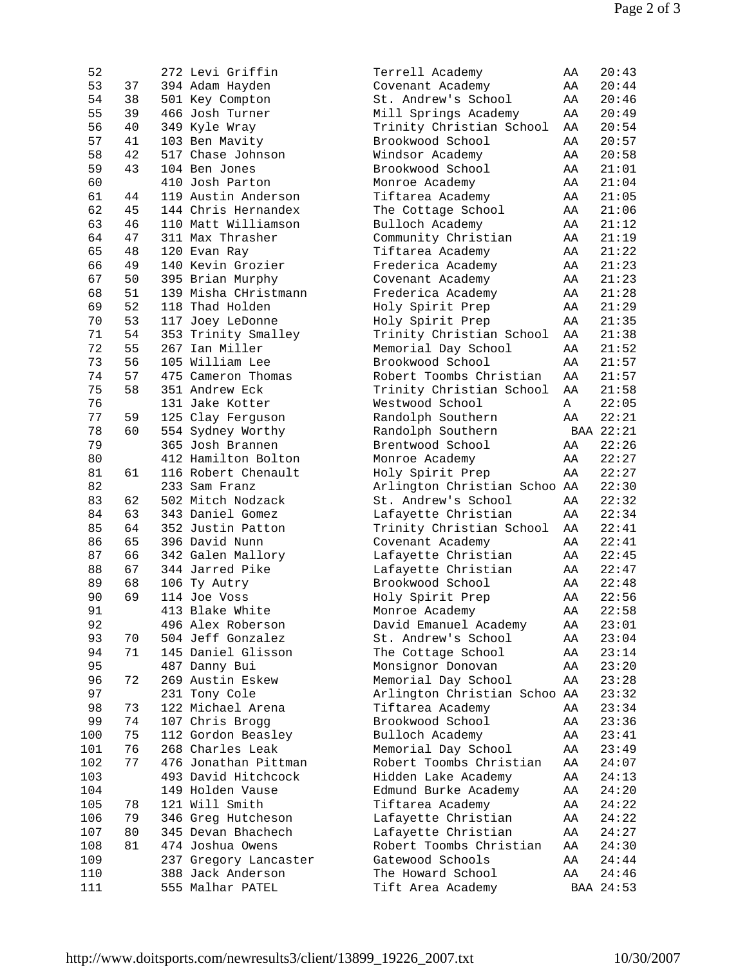| 52  |    | 272 Levi Griffin      | Terrell Academy              | ΑA | 20:43     |
|-----|----|-----------------------|------------------------------|----|-----------|
| 53  | 37 | 394 Adam Hayden       | Covenant Academy             | AA | 20:44     |
| 54  | 38 | 501 Key Compton       | St. Andrew's School          | AA | 20:46     |
| 55  | 39 | 466 Josh Turner       | Mill Springs Academy         | AA | 20:49     |
| 56  | 40 | 349 Kyle Wray         | Trinity Christian School     | AA | 20:54     |
| 57  | 41 | 103 Ben Mavity        | Brookwood School             | AA | 20:57     |
| 58  | 42 | 517 Chase Johnson     | Windsor Academy              | AA | 20:58     |
| 59  | 43 | 104 Ben Jones         | Brookwood School             | AA | 21:01     |
| 60  |    | 410 Josh Parton       | Monroe Academy               | AA | 21:04     |
| 61  | 44 | 119 Austin Anderson   | Tiftarea Academy             | AA | 21:05     |
| 62  | 45 | 144 Chris Hernandex   | The Cottage School           | AA | 21:06     |
| 63  | 46 | 110 Matt Williamson   | Bulloch Academy              | AA | 21:12     |
| 64  | 47 | 311 Max Thrasher      | Community Christian          | AA | 21:19     |
| 65  | 48 | 120 Evan Ray          | Tiftarea Academy             | AA | 21:22     |
| 66  | 49 | 140 Kevin Grozier     | Frederica Academy            | AA | 21:23     |
| 67  | 50 | 395 Brian Murphy      | Covenant Academy             | AA | 21:23     |
| 68  | 51 | 139 Misha CHristmann  | Frederica Academy            | AA | 21:28     |
| 69  | 52 | 118 Thad Holden       | Holy Spirit Prep             | AA | 21:29     |
| 70  | 53 | 117 Joey LeDonne      | Holy Spirit Prep             | AA | 21:35     |
| 71  | 54 | 353 Trinity Smalley   | Trinity Christian School     | AA | 21:38     |
| 72  | 55 | 267 Ian Miller        | Memorial Day School          | AA | 21:52     |
| 73  | 56 | 105 William Lee       | Brookwood School             | AA | 21:57     |
| 74  | 57 | 475 Cameron Thomas    | Robert Toombs Christian      | AA | 21:57     |
| 75  |    | 351 Andrew Eck        |                              |    |           |
|     | 58 | 131 Jake Kotter       | Trinity Christian School     | AA | 21:58     |
| 76  |    |                       | Westwood School              | Α  | 22:05     |
| 77  | 59 | 125 Clay Ferguson     | Randolph Southern            | AA | 22:21     |
| 78  | 60 | 554 Sydney Worthy     | Randolph Southern            |    | BAA 22:21 |
| 79  |    | 365 Josh Brannen      | Brentwood School             | AA | 22:26     |
| 80  |    | 412 Hamilton Bolton   | Monroe Academy               | AA | 22:27     |
| 81  | 61 | 116 Robert Chenault   | Holy Spirit Prep             | AA | 22:27     |
| 82  |    | 233 Sam Franz         | Arlington Christian Schoo AA |    | 22:30     |
| 83  | 62 | 502 Mitch Nodzack     | St. Andrew's School          | AA | 22:32     |
| 84  | 63 | 343 Daniel Gomez      | Lafayette Christian          | AA | 22:34     |
| 85  | 64 | 352 Justin Patton     | Trinity Christian School     | AA | 22:41     |
| 86  | 65 | 396 David Nunn        | Covenant Academy             | AA | 22:41     |
| 87  | 66 | 342 Galen Mallory     | Lafayette Christian          | AA | 22:45     |
| 88  | 67 | 344 Jarred Pike       | Lafayette Christian          | AA | 22:47     |
| 89  | 68 | 106 Ty Autry          | Brookwood School             | AA | 22:48     |
| 90  | 69 | 114 Joe Voss          | Holy Spirit Prep             | AA | 22:56     |
| 91  |    | 413 Blake White       | Monroe Academy               | ΑA | 22:58     |
| 92  |    | 496 Alex Roberson     | David Emanuel Academy        | ΑA | 23:01     |
| 93  | 70 | 504 Jeff Gonzalez     | St. Andrew's School          | AA | 23:04     |
| 94  | 71 | 145 Daniel Glisson    | The Cottage School           | AA | 23:14     |
| 95  |    | 487 Danny Bui         | Monsignor Donovan            | AA | 23:20     |
| 96  | 72 | 269 Austin Eskew      | Memorial Day School          | AA | 23:28     |
| 97  |    | 231 Tony Cole         | Arlington Christian Schoo AA |    | 23:32     |
| 98  | 73 | 122 Michael Arena     | Tiftarea Academy             | AA | 23:34     |
| 99  | 74 | 107 Chris Brogg       | Brookwood School             | AA | 23:36     |
| 100 | 75 | 112 Gordon Beasley    | Bulloch Academy              | AA | 23:41     |
| 101 | 76 | 268 Charles Leak      | Memorial Day School          | AA | 23:49     |
| 102 | 77 | 476 Jonathan Pittman  | Robert Toombs Christian      | AA | 24:07     |
| 103 |    | 493 David Hitchcock   | Hidden Lake Academy          | AA | 24:13     |
| 104 |    | 149 Holden Vause      | Edmund Burke Academy         | AA | 24:20     |
| 105 | 78 | 121 Will Smith        | Tiftarea Academy             | AA | 24:22     |
| 106 | 79 | 346 Greg Hutcheson    | Lafayette Christian          | AA | 24:22     |
| 107 | 80 | 345 Devan Bhachech    | Lafayette Christian          | AA | 24:27     |
| 108 | 81 | 474 Joshua Owens      | Robert Toombs Christian      | AA | 24:30     |
| 109 |    | 237 Gregory Lancaster | Gatewood Schools             | AA | 24:44     |
| 110 |    | 388 Jack Anderson     | The Howard School            | AA | 24:46     |
| 111 |    | 555 Malhar PATEL      | Tift Area Academy            |    | BAA 24:53 |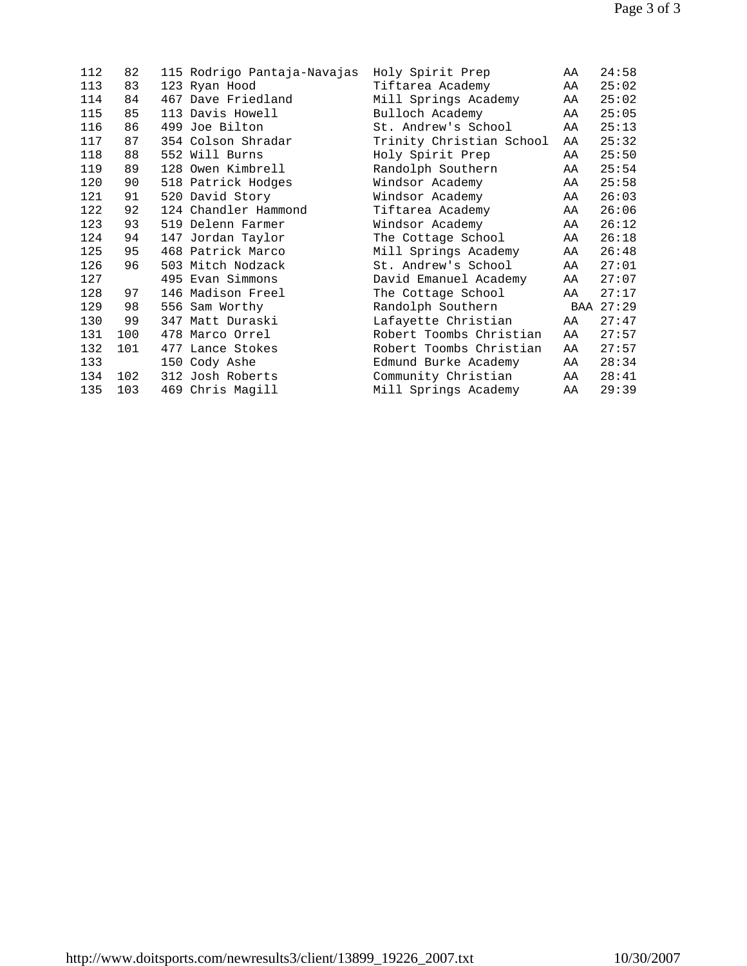| 112 | 82  |     | 115 Rodrigo Pantaja-Navajas | Holy Spirit Prep         | AA | 24:58     |
|-----|-----|-----|-----------------------------|--------------------------|----|-----------|
| 113 | 83  |     | 123 Ryan Hood               | Tiftarea Academy         | AA | 25:02     |
| 114 | 84  |     | 467 Dave Friedland          | Mill Springs Academy     | AA | 25:02     |
| 115 | 85  |     | 113 Davis Howell            | Bulloch Academy          | AA | 25:05     |
| 116 | 86  |     | 499 Joe Bilton              | St. Andrew's School      | AA | 25:13     |
| 117 | 87  |     | 354 Colson Shradar          | Trinity Christian School | AA | 25:32     |
| 118 | 88  |     | 552 Will Burns              | Holy Spirit Prep         | AA | 25:50     |
| 119 | 89  |     | 128 Owen Kimbrell           | Randolph Southern        | AA | 25:54     |
| 120 | 90  |     | 518 Patrick Hodges          | Windsor Academy          | AA | 25:58     |
| 121 | 91  |     | 520 David Story             | Windsor Academy          | AA | 26:03     |
| 122 | 92  |     | 124 Chandler Hammond        | Tiftarea Academy         | AA | 26:06     |
| 123 | 93  |     | 519 Delenn Farmer           | Windsor Academy          | AA | 26:12     |
| 124 | 94  |     | 147 Jordan Taylor           | The Cottage School       | AA | 26:18     |
| 125 | 95  |     | 468 Patrick Marco           | Mill Springs Academy     | AA | 26:48     |
| 126 | 96  |     | 503 Mitch Nodzack           | St. Andrew's School      | AA | 27:01     |
| 127 |     |     | 495 Evan Simmons            | David Emanuel Academy    | AA | 27:07     |
| 128 | 97  |     | 146 Madison Freel           | The Cottage School       | AA | 27:17     |
| 129 | 98  |     | 556 Sam Worthy              | Randolph Southern        |    | BAA 27:29 |
| 130 | 99  |     | 347 Matt Duraski            | Lafayette Christian      | AA | 27:47     |
| 131 | 100 |     | 478 Marco Orrel             | Robert Toombs Christian  | AA | 27:57     |
| 132 | 101 | 477 | Lance Stokes                | Robert Toombs Christian  | AA | 27:57     |
| 133 |     |     | 150 Cody Ashe               | Edmund Burke Academy     | AA | 28:34     |
| 134 | 102 |     | 312 Josh Roberts            | Community Christian      | AA | 28:41     |
| 135 | 103 |     | 469 Chris Magill            | Mill Springs Academy     | AA | 29:39     |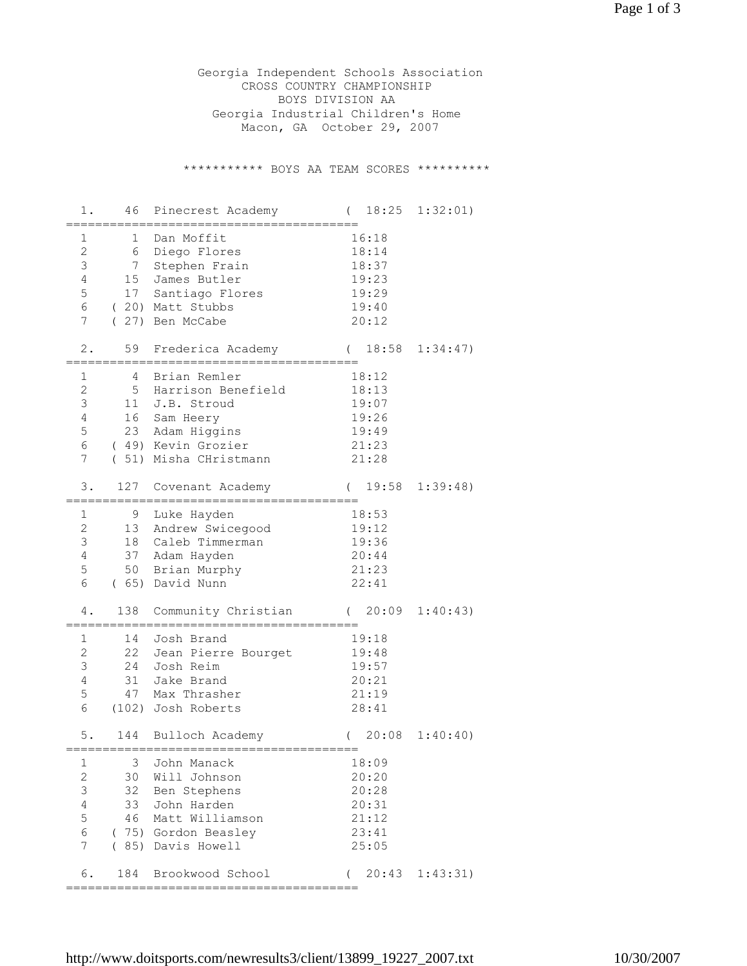Georgia Independent Schools Association CROSS COUNTRY CHAMPIONSHIP BOYS DIVISION AA Georgia Industrial Children's Home Macon, GA October 29, 2007

\*\*\*\*\*\*\*\*\*\*\* BOYS AA TEAM SCORES \*\*\*\*\*\*\*\*\*\*

| 1.                  | 46       | Pinecrest Academy               | 18:25<br>$\left($ | 1:32:01)         |
|---------------------|----------|---------------------------------|-------------------|------------------|
| 1                   | 1        | Dan Moffit                      | 16:18             |                  |
| $\overline{2}$      | 6        | Diego Flores                    | 18:14             |                  |
| 3                   | 7        | Stephen Frain                   | 18:37             |                  |
| 4                   | 15       | James Butler                    | 19:23             |                  |
| 5                   |          | 17 Santiago Flores              | 19:29             |                  |
| 6                   |          | (20) Matt Stubbs                | 19:40             |                  |
| 7                   | $\left($ | 27) Ben McCabe                  | 20:12             |                  |
|                     |          |                                 |                   |                  |
| 2.                  | 59       | Frederica Academy               | 18:58             | 1:34:47          |
|                     |          |                                 |                   |                  |
| 1                   | 4        | Brian Remler                    | 18:12             |                  |
| $\mathbf{2}$        | 5        | Harrison Benefield              | 18:13             |                  |
| 3<br>$\overline{4}$ | 11       | J.B. Stroud                     | 19:07             |                  |
| 5                   |          | 16 Sam Heery                    | 19:26             |                  |
|                     |          | 23 Adam Higgins                 | 19:49             |                  |
| 6                   |          | (49) Kevin Grozier              | 21:23             |                  |
| 7                   |          | (51) Misha CHristmann           | 21:28             |                  |
| 3.                  | 127      | Covenant Academy                | $\left($<br>19:58 | 1:39:48)         |
| $\mathbf 1$         | 9        |                                 | 18:53             |                  |
| $\overline{c}$      | 13       | Luke Hayden<br>Andrew Swicegood | 19:12             |                  |
| 3                   | 18       | Caleb Timmerman                 | 19:36             |                  |
| $\overline{4}$      |          | 37 Adam Hayden                  | 20:44             |                  |
| 5                   | 50       | Brian Murphy                    | 21:23             |                  |
| 6                   |          | (65) David Nunn                 | 22:41             |                  |
|                     |          |                                 |                   |                  |
| 4.                  | 138      | Community Christian             | 20:09             | 1:40:43)         |
| 1                   | 14       | Josh Brand                      | 19:18             |                  |
| $\overline{c}$      | 22       | Jean Pierre Bourget             | 19:48             |                  |
| 3                   | 24       | Josh Reim                       | 19:57             |                  |
| $\overline{4}$      | 31       | Jake Brand                      | 20:21             |                  |
| 5                   | 47       | Max Thrasher                    | 21:19             |                  |
| 6                   |          | (102) Josh Roberts              | 28:41             |                  |
| $5$ .               | 144      | Bulloch Academy                 | $\left($          | $20:08$ 1:40:40) |
|                     |          | =============                   |                   |                  |
| 1                   | 3        | John Manack                     | 18:09             |                  |
| $\mathbf{2}$        | 30       | Will Johnson                    | 20:20             |                  |
| 3                   | 32       | Ben Stephens                    | 20:28             |                  |
| $\overline{4}$      | 33       | John Harden                     | 20:31             |                  |
| 5                   | 46       | Matt Williamson                 | 21:12             |                  |
| 6                   |          | (75) Gordon Beasley             | 23:41             |                  |
| 7                   | (85)     | Davis Howell                    | 25:05             |                  |
| 6.                  | 184      | Brookwood School                | 20:43<br>(        | 1:43:31)         |
|                     |          |                                 |                   |                  |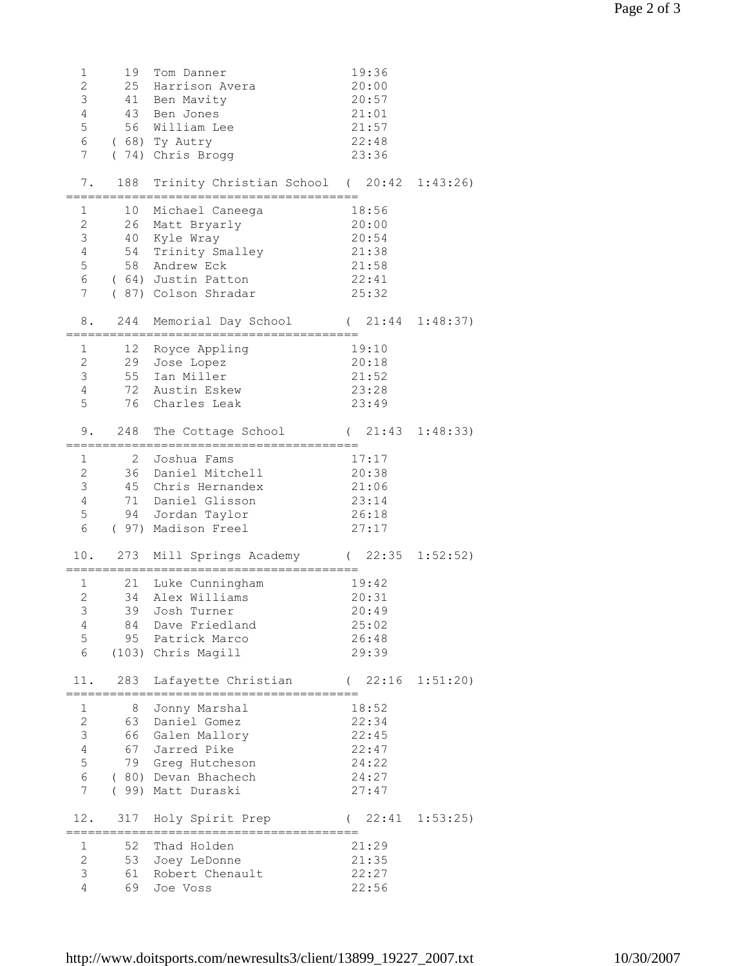| $\mathbf 1$<br>$\overline{c}$<br>3<br>$\overline{4}$<br>5<br>6<br>7                        | 19              | Tom Danner<br>25 Harrison Avera<br>41 Ben Mavity<br>43 Ben Jones<br>56 William Lee<br>(68) Ty Autry<br>(74) Chris Brogg                                 | 19:36<br>20:00<br>20:57<br>21:01<br>21:57<br>22:48<br>23:36               |                         |
|--------------------------------------------------------------------------------------------|-----------------|---------------------------------------------------------------------------------------------------------------------------------------------------------|---------------------------------------------------------------------------|-------------------------|
| 7.                                                                                         |                 | 188 Trinity Christian School (20:42 1:43:26)                                                                                                            |                                                                           |                         |
| $\mathbf 1$<br>$\mathbf{2}$<br>$\mathfrak{Z}$<br>$\overline{4}$<br>5<br>6                  |                 | 10 Michael Caneega<br>26 Matt Bryarly<br>40 Kyle Wray<br>54 Trinity Smalley<br>58 Andrew Eck<br>(64) Justin Patton<br>7 (87) Colson Shradar             | 18:56<br>20:00<br>20:54<br>21:38<br>21:58<br>22:41<br>25:32               |                         |
| 8.                                                                                         |                 | 244 Memorial Day School (21:44 1:48:37)                                                                                                                 |                                                                           |                         |
| $\mathbf{1}$<br>$\mathbf{2}$<br>3<br>$\overline{4}$<br>5                                   |                 | 12 Royce Appling<br>29 Jose Lopez<br>55 Ian Miller<br>72 Austin Eskew<br>76 Charles Leak                                                                | 19:10<br>20:18<br>21:52<br>23:28<br>23:49                                 |                         |
| 9.                                                                                         |                 | 248 The Cottage School                                                                                                                                  |                                                                           | $(21:43 \t1:48:33)$     |
| $\mathbf 1$<br>$\overline{2}$<br>$\mathfrak{Z}$<br>$4\overline{ }$<br>5<br>$6\overline{6}$ | $2\overline{ }$ | Joshua Fams<br>36 Daniel Mitchell<br>45 Chris Hernandex<br>71 Daniel Glisson<br>94 Jordan Taylor<br>( 97) Madison Freel<br>10. 273 Mill Springs Academy | 17:17<br>20:38<br>21:06<br>23:14<br>26:18<br>27:17<br>$(22:35 \t1:52:52)$ |                         |
| 1<br>$\overline{2}$<br>3 <sup>7</sup><br>4<br>5<br>6                                       |                 | 21 Luke Cunningham<br>34 Alex Williams<br>39 Josh Turner<br>84 Dave Friedland<br>95 Patrick Marco<br>(103) Chris Magill                                 | 19:42<br>20:31<br>20:49<br>25:02<br>26:48<br>29:39                        |                         |
| 11.                                                                                        |                 | 283 Lafayette Christian                                                                                                                                 | $(22:16 \t1:51:20)$                                                       |                         |
| 1<br>$\overline{c}$<br>3<br>$\overline{4}$<br>5<br>6<br>$7\overline{ }$                    |                 | 8 Jonny Marshal<br>63 Daniel Gomez<br>66 Galen Mallory<br>67 Jarred Pike<br>79 Greg Hutcheson<br>(80) Devan Bhachech<br>( 99) Matt Duraski              | 18:52<br>22:34<br>22:45<br>22:47<br>24:22<br>24:27<br>27:47               |                         |
| 12.                                                                                        |                 | 317 Holy Spirit Prep                                                                                                                                    |                                                                           | $(22:41 \quad 1:53:25)$ |
| 1<br>$\mathbf{2}$<br>3<br>$\overline{4}$                                                   |                 | 52 Thad Holden<br>53 Joey LeDonne<br>61 Robert Chenault<br>69 Joe Voss                                                                                  | 21:29<br>21:35<br>22:27<br>22:56                                          |                         |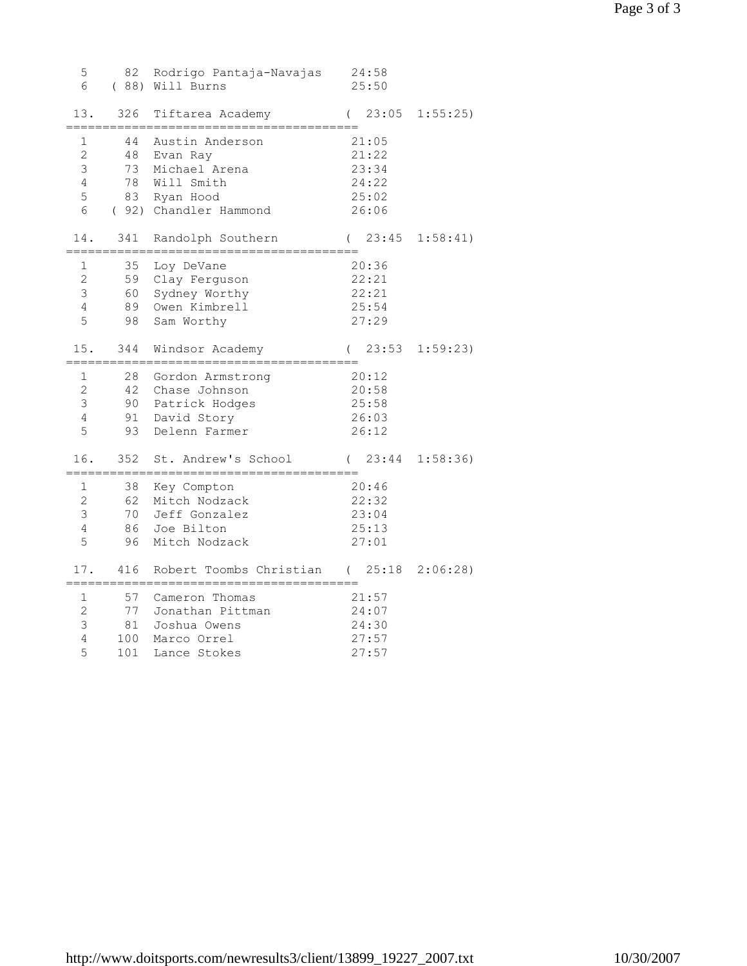| 5<br>6                                               | 82                           | Rodrigo Pantaja-Navajas<br>( 88) Will Burns                                                            | 24:58<br>25:50                                     |                   |
|------------------------------------------------------|------------------------------|--------------------------------------------------------------------------------------------------------|----------------------------------------------------|-------------------|
| 13.                                                  | 326                          | Tiftarea Academy                                                                                       | 23:05<br>$\left($                                  | 1:55:25           |
| 1<br>$\overline{2}$<br>3<br>$\overline{4}$<br>5<br>6 | 44<br>48<br>73               | Austin Anderson<br>Evan Ray<br>Michael Arena<br>78 Will Smith<br>83 Ryan Hood<br>(92) Chandler Hammond | 21:05<br>21:22<br>23:34<br>24:22<br>25:02<br>26:06 |                   |
| 14.                                                  | 341<br>============          | Randolph Southern<br>=========================                                                         | 23:45<br>$\left($                                  | 1:58:41)          |
| 1<br>$\overline{c}$<br>3<br>$\overline{4}$<br>5      | 35<br>59<br>60<br>89<br>98   | Loy DeVane<br>Clay Ferguson<br>Sydney Worthy<br>Owen Kimbrell<br>Sam Worthy                            | 20:36<br>22:21<br>22:21<br>25:54<br>27:29          |                   |
| 15.                                                  | 344                          | Windsor Academy                                                                                        | 23:53                                              | 1:59:23           |
| 1<br>$\overline{2}$<br>3<br>$\overline{4}$<br>5      | 28<br>90<br>91<br>93         | Gordon Armstrong<br>42 Chase Johnson<br>Patrick Hodges<br>David Story<br>Delenn Farmer                 | 20:12<br>20:58<br>25:58<br>26:03<br>26:12          |                   |
| 16.<br>$=====$                                       | 352                          | St. Andrew's School                                                                                    | 23:44                                              | 1:58:36           |
| 1<br>$\mathbf{2}$<br>3<br>$\overline{4}$<br>5        | 38<br>62<br>86<br>96         | Key Compton<br>Mitch Nodzack<br>70 Jeff Gonzalez<br>Joe Bilton<br>Mitch Nodzack                        | 20:46<br>22:32<br>23:04<br>25:13<br>27:01          |                   |
| 17.                                                  | 416                          | Robert Toombs Christian                                                                                | $\sqrt{2}$                                         | $25:18$ $2:06:28$ |
| 1<br>$\mathbf{2}$<br>3<br>$\overline{4}$<br>5        | 57<br>77<br>81<br>100<br>101 | Cameron Thomas<br>Jonathan Pittman<br>Joshua Owens<br>Marco Orrel<br>Lance Stokes                      | 21:57<br>24:07<br>24:30<br>27:57<br>27:57          |                   |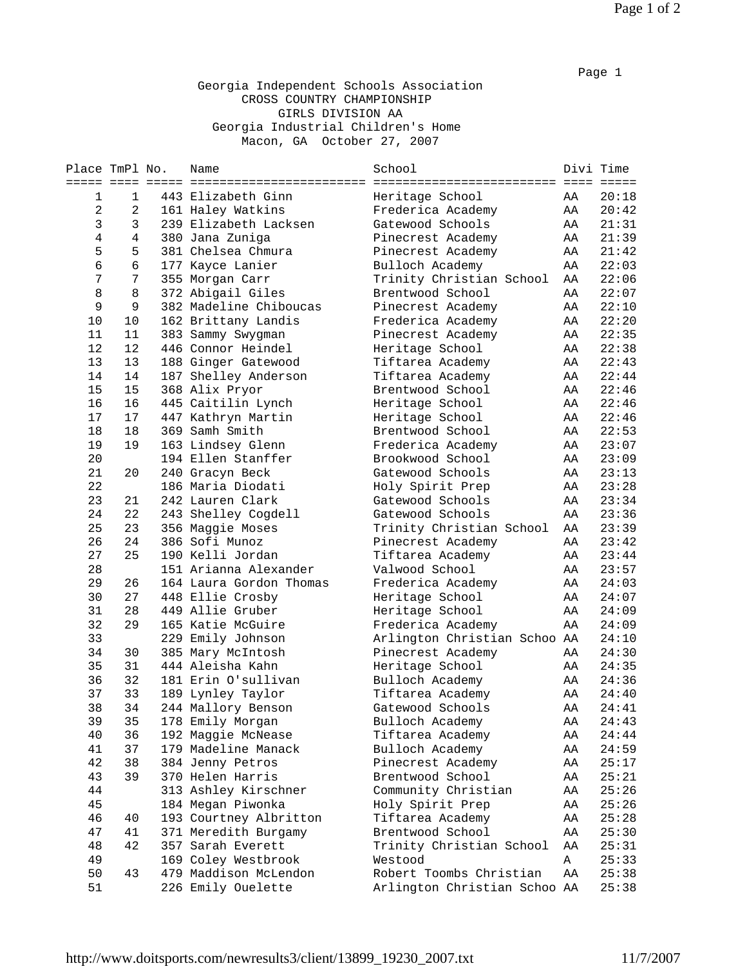## Georgia Independent Schools Association CROSS COUNTRY CHAMPIONSHIP GIRLS DIVISION AA Georgia Industrial Children's Home Macon, GA October 27, 2007

| Place TmPl No. |                | Name                    | School                              |    | Divi Time |
|----------------|----------------|-------------------------|-------------------------------------|----|-----------|
| ===== ====     |                |                         | ========================= === ===== |    |           |
| 1              | 1              | 443 Elizabeth Ginn      | Heritage School                     | AA | 20:18     |
| $\overline{a}$ | 2              | 161 Haley Watkins       | Frederica Academy                   | AA | 20:42     |
| 3              | 3              | 239 Elizabeth Lacksen   | Gatewood Schools                    | AA | 21:31     |
| $\,4$          | $\overline{4}$ | 380 Jana Zuniga         | Pinecrest Academy                   | AA | 21:39     |
| 5              | 5              | 381 Chelsea Chmura      | Pinecrest Academy                   | AA | 21:42     |
| 6              | $\epsilon$     | 177 Kayce Lanier        | Bulloch Academy                     | AA | 22:03     |
| 7              | 7              | 355 Morgan Carr         | Trinity Christian School            | AA | 22:06     |
| 8              | 8              | 372 Abigail Giles       | Brentwood School                    | AA | 22:07     |
| 9              | 9              | 382 Madeline Chiboucas  | Pinecrest Academy                   | AA | 22:10     |
| 10             | 10             | 162 Brittany Landis     | Frederica Academy                   | AA | 22:20     |
| 11             | 11             | 383 Sammy Swygman       | Pinecrest Academy                   | AA | 22:35     |
| 12             | 12             | 446 Connor Heindel      | Heritage School                     | AA | 22:38     |
| 13             | 13             | 188 Ginger Gatewood     | Tiftarea Academy                    | AA | 22:43     |
| 14             | 14             | 187 Shelley Anderson    | Tiftarea Academy                    | AA | 22:44     |
| 15             | 15             | 368 Alix Pryor          | Brentwood School                    | AA | 22:46     |
| 16             | 16             | 445 Caitilin Lynch      | Heritage School                     | AA | 22:46     |
| 17             | 17             | 447 Kathryn Martin      | Heritage School                     | AA | 22:46     |
| 18             | 18             | 369 Samh Smith          | Brentwood School                    | AA | 22:53     |
| 19             | 19             | 163 Lindsey Glenn       | Frederica Academy                   | AA | 23:07     |
| 20             |                | 194 Ellen Stanffer      | Brookwood School                    | AA | 23:09     |
| 21             | 20             | 240 Gracyn Beck         | Gatewood Schools                    | AA | 23:13     |
| 22             |                | 186 Maria Diodati       | Holy Spirit Prep                    | AA | 23:28     |
| 23             | 21             | 242 Lauren Clark        | Gatewood Schools                    | AA | 23:34     |
| 24             | 22             | 243 Shelley Cogdell     | Gatewood Schools                    | AA | 23:36     |
| 25             | 23             | 356 Maggie Moses        | Trinity Christian School            | AA | 23:39     |
| 26             | 24             | 386 Sofi Munoz          | Pinecrest Academy                   | AA | 23:42     |
| 27             | 25             | 190 Kelli Jordan        | Tiftarea Academy                    | AA | 23:44     |
| 28             |                | 151 Arianna Alexander   | Valwood School                      | AA | 23:57     |
| 29             | 26             | 164 Laura Gordon Thomas | Frederica Academy                   | AA | 24:03     |
| 30             | 27             | 448 Ellie Crosby        | Heritage School                     | AA | 24:07     |
| 31             | 28             | 449 Allie Gruber        | Heritage School                     | AA | 24:09     |
| 32             | 29             | 165 Katie McGuire       | Frederica Academy                   | AA | 24:09     |
| 33             |                | 229 Emily Johnson       | Arlington Christian Schoo AA        |    | 24:10     |
| 34             | 30             | 385 Mary McIntosh       | Pinecrest Academy                   | AA | 24:30     |
| 35             | 31             | 444 Aleisha Kahn        | Heritage School                     | AA | 24:35     |
| 36             | 32             | 181 Erin O'sullivan     | Bulloch Academy                     | AA | 24:36     |
| 37             | 33             | 189 Lynley Taylor       | Tiftarea Academy                    | AA | 24:40     |
| 38             | 34             | 244 Mallory Benson      | Gatewood Schools                    | ΑA | 24:41     |
| 39             | 35             | 178 Emily Morgan        | Bulloch Academy                     | ΑA | 24:43     |
| 40             | 36             | 192 Maggie McNease      | Tiftarea Academy                    | AA | 24:44     |
| 41             | 37             | 179 Madeline Manack     | Bulloch Academy                     | AA | 24:59     |
| 42             | 38             | 384 Jenny Petros        | Pinecrest Academy                   | AA | 25:17     |
| 43             | 39             | 370 Helen Harris        | Brentwood School                    | AA | 25:21     |
| 44             |                | 313 Ashley Kirschner    | Community Christian                 | AA | 25:26     |
| 45             |                | 184 Megan Piwonka       | Holy Spirit Prep                    | AA | 25:26     |
| 46             | 40             | 193 Courtney Albritton  | Tiftarea Academy                    | AA | 25:28     |
| 47             | 41             | 371 Meredith Burgamy    | Brentwood School                    | AA | 25:30     |
| 48             | 42             | 357 Sarah Everett       | Trinity Christian School            | AA | 25:31     |
| 49             |                | 169 Coley Westbrook     | Westood                             | A  | 25:33     |
| 50             | 43             | 479 Maddison McLendon   | Robert Toombs Christian             | AA | 25:38     |
| 51             |                | 226 Emily Ouelette      | Arlington Christian Schoo AA        |    | 25:38     |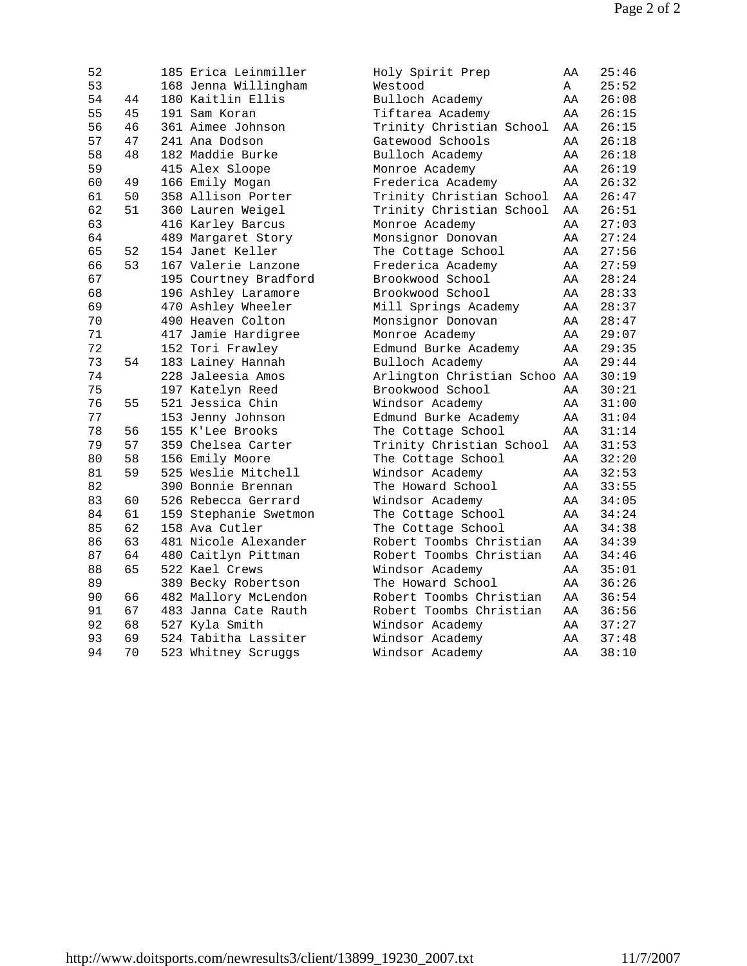| 52 |    | 185 Erica Leinmiller  | Holy Spirit Prep             | ΑA | 25:46 |
|----|----|-----------------------|------------------------------|----|-------|
| 53 |    | 168 Jenna Willingham  | Westood                      | Α  | 25:52 |
| 54 | 44 | 180 Kaitlin Ellis     | Bulloch Academy              | ΑA | 26:08 |
| 55 | 45 | 191 Sam Koran         | Tiftarea Academy             | AA | 26:15 |
| 56 | 46 | 361 Aimee Johnson     | Trinity Christian School     | AA | 26:15 |
| 57 | 47 | 241 Ana Dodson        | Gatewood Schools             | AA | 26:18 |
| 58 | 48 | 182 Maddie Burke      | Bulloch Academy              | AA | 26:18 |
| 59 |    | 415 Alex Sloope       | Monroe Academy               | AA | 26:19 |
| 60 | 49 | 166 Emily Mogan       | Frederica Academy            | AA | 26:32 |
| 61 | 50 | 358 Allison Porter    | Trinity Christian School     | ΑA | 26:47 |
| 62 | 51 | 360 Lauren Weigel     | Trinity Christian School     | AA | 26:51 |
| 63 |    | 416 Karley Barcus     | Monroe Academy               | AA | 27:03 |
| 64 |    | 489 Margaret Story    | Monsignor Donovan            | AA | 27:24 |
| 65 | 52 | 154 Janet Keller      | The Cottage School           | AA | 27:56 |
| 66 | 53 | 167 Valerie Lanzone   | Frederica Academy            | AA | 27:59 |
| 67 |    | 195 Courtney Bradford | Brookwood School             | AA | 28:24 |
| 68 |    | 196 Ashley Laramore   | Brookwood School             | AA | 28:33 |
| 69 |    | 470 Ashley Wheeler    | Mill Springs Academy         | AA | 28:37 |
| 70 |    | 490 Heaven Colton     | Monsignor Donovan            | AA | 28:47 |
| 71 |    | 417 Jamie Hardigree   | Monroe Academy               | AA | 29:07 |
| 72 |    | 152 Tori Frawley      | Edmund Burke Academy         | AA | 29:35 |
| 73 | 54 | 183 Lainey Hannah     | Bulloch Academy              | AA | 29:44 |
| 74 |    | 228 Jaleesia Amos     | Arlington Christian Schoo AA |    | 30:19 |
| 75 |    | 197 Katelyn Reed      | Brookwood School             | AA | 30:21 |
| 76 | 55 | 521 Jessica Chin      | Windsor Academy              | AA | 31:00 |
| 77 |    | 153 Jenny Johnson     | Edmund Burke Academy         | AA | 31:04 |
| 78 | 56 | 155 K'Lee Brooks      | The Cottage School           | AA | 31:14 |
| 79 | 57 | 359 Chelsea Carter    | Trinity Christian School     | AA | 31:53 |
| 80 | 58 | 156 Emily Moore       | The Cottage School           | AA | 32:20 |
| 81 | 59 | 525 Weslie Mitchell   | Windsor Academy              | AA | 32:53 |
| 82 |    | 390 Bonnie Brennan    | The Howard School            | AA | 33:55 |
| 83 | 60 | 526 Rebecca Gerrard   | Windsor Academy              | AA | 34:05 |
| 84 | 61 | 159 Stephanie Swetmon | The Cottage School           | AA | 34:24 |
| 85 | 62 | 158 Ava Cutler        | The Cottage School           | AA | 34:38 |
| 86 | 63 | 481 Nicole Alexander  | Robert Toombs Christian      | AA | 34:39 |
| 87 | 64 | 480 Caitlyn Pittman   | Robert Toombs Christian      | AA | 34:46 |
| 88 | 65 | 522 Kael Crews        | Windsor Academy              | AA | 35:01 |
| 89 |    | 389 Becky Robertson   | The Howard School            | AA | 36:26 |
| 90 | 66 | 482 Mallory McLendon  | Robert Toombs Christian      | AA | 36:54 |
| 91 | 67 | 483 Janna Cate Rauth  | Robert Toombs Christian      | AA | 36:56 |
| 92 | 68 | 527 Kyla Smith        | Windsor Academy              | AA | 37:27 |
| 93 | 69 | 524 Tabitha Lassiter  | Windsor Academy              | AA | 37:48 |
| 94 | 70 | 523 Whitney Scruggs   | Windsor Academy              | AA | 38:10 |
|    |    |                       |                              |    |       |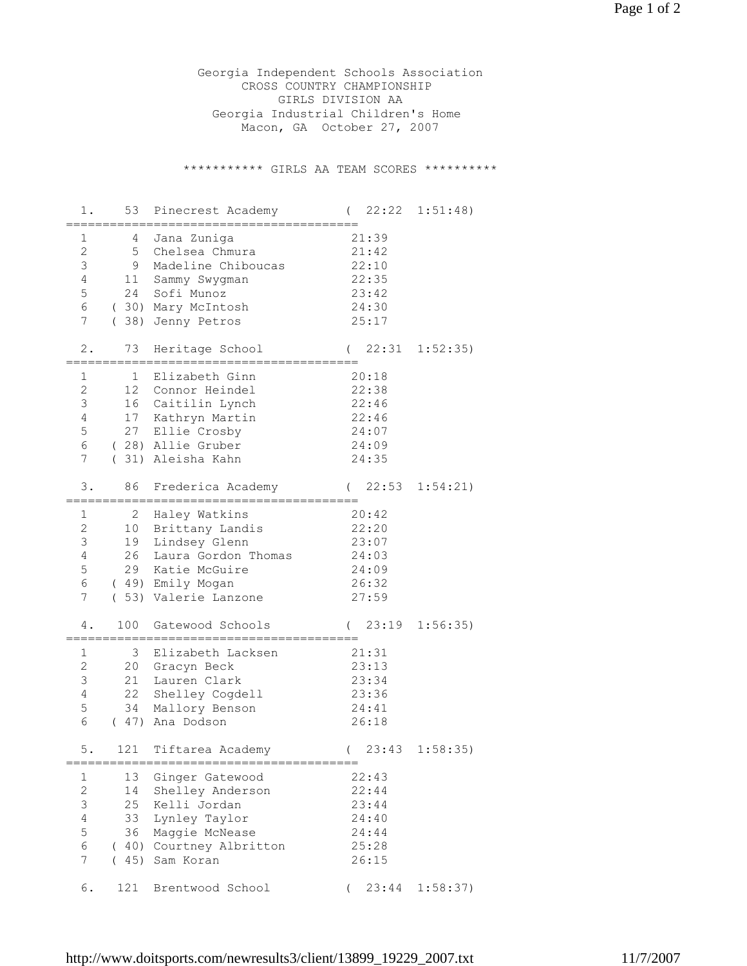Georgia Independent Schools Association CROSS COUNTRY CHAMPIONSHIP GIRLS DIVISION AA Georgia Industrial Children's Home Macon, GA October 27, 2007

\*\*\*\*\*\*\*\*\*\*\*\* GIRLS AA TEAM SCORES \*\*\*\*\*\*\*\*\*\*

| 1.                                                                          |                            | 53 Pinecrest Academy                                                                                                                  | 22:22<br>$\left($                                           | 1:51:48) |
|-----------------------------------------------------------------------------|----------------------------|---------------------------------------------------------------------------------------------------------------------------------------|-------------------------------------------------------------|----------|
| $\mathbf 1$<br>$\mathbf{2}$<br>3<br>$\overline{4}$<br>$\mathsf S$<br>6<br>7 | 9<br>11<br>24              | 4 Jana Zuniga<br>5 Chelsea Chmura<br>Madeline Chiboucas<br>Sammy Swygman<br>Sofi Munoz<br>(30) Mary McIntosh<br>(38) Jenny Petros     | 21:39<br>21:42<br>22:10<br>22:35<br>23:42<br>24:30<br>25:17 |          |
| $2$ .                                                                       | 73                         | Heritage School                                                                                                                       | 22:31<br>$\left($                                           | 1:52:35) |
| 1<br>$\mathbf{2}$<br>3<br>4<br>5<br>6<br>7                                  | 1<br>12<br>27              | Elizabeth Ginn<br>Connor Heindel<br>16 Caitilin Lynch<br>17 Kathryn Martin<br>Ellie Crosby<br>(28) Allie Gruber<br>(31) Aleisha Kahn  | 20:18<br>22:38<br>22:46<br>22:46<br>24:07<br>24:09<br>24:35 |          |
| 3.                                                                          | 86                         | Frederica Academy                                                                                                                     | (22:53)                                                     | 1:54:21) |
| $\mathbf 1$<br>$\mathbf{2}$<br>3<br>$\overline{4}$<br>5<br>6<br>7           | 2<br>10<br>19<br>26<br>29  | Haley Watkins<br>Brittany Landis<br>Lindsey Glenn<br>Laura Gordon Thomas<br>Katie McGuire<br>(49) Emily Mogan<br>(53) Valerie Lanzone | 20:42<br>22:20<br>23:07<br>24:03<br>24:09<br>26:32<br>27:59 |          |
| 4.                                                                          | 100                        | Gatewood Schools                                                                                                                      | 23:19<br>$\left($                                           | 1:56:35) |
| 1<br>$\mathbf{2}$<br>$\mathfrak{Z}$<br>$\overline{4}$<br>5<br>6             | 3<br>20<br>21<br>22<br>34  | Elizabeth Lacksen<br>Gracyn Beck<br>Lauren Clark<br>Shelley Cogdell<br>Mallory Benson<br>(47) Ana Dodson                              | 21:31<br>23:13<br>23:34<br>23:36<br>24:41<br>26:18          |          |
| $5.$                                                                        | 121                        | Tiftarea Academy<br>;===========================                                                                                      | (23:43)<br>.=============                                   | 1:58:35) |
| 1<br>$\sqrt{2}$<br>$\mathsf 3$<br>$\overline{4}$<br>5<br>$\epsilon$<br>7    | 13<br>14<br>25<br>33<br>36 | Ginger Gatewood<br>Shelley Anderson<br>Kelli Jordan<br>Lynley Taylor<br>Maggie McNease<br>(40) Courtney Albritton<br>(45) Sam Koran   | 22:43<br>22:44<br>23:44<br>24:40<br>24:44<br>25:28<br>26:15 |          |
| 6.                                                                          | 121                        | Brentwood School                                                                                                                      | 23:44<br>$\left($                                           | 1:58:37) |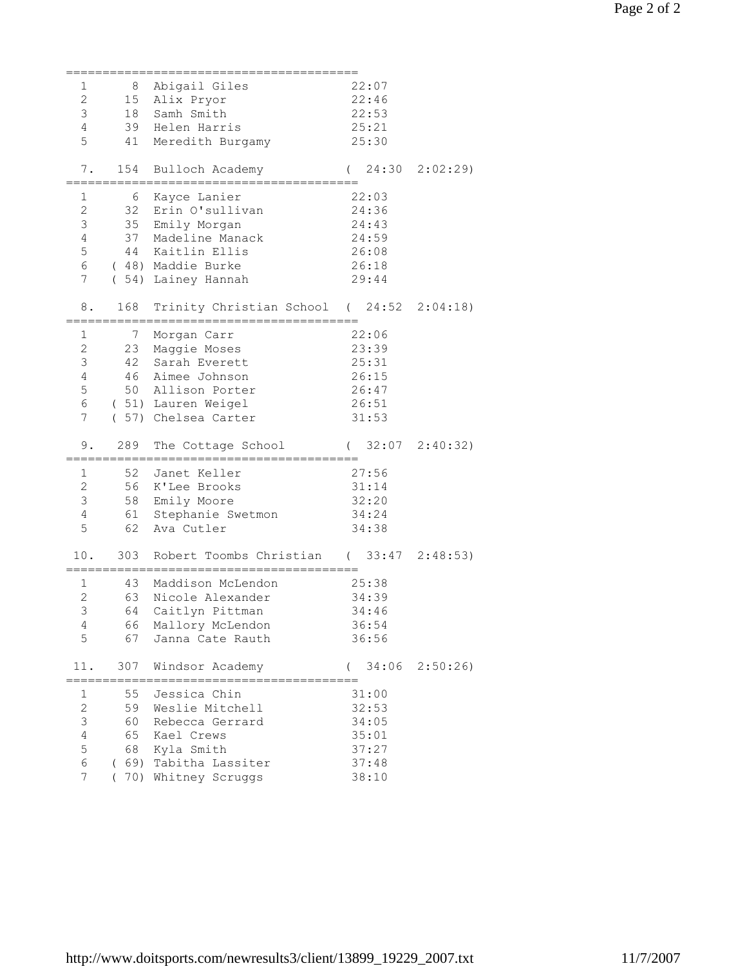| 1                   | 8    | Abigail Giles                            | 22:07                   |                   |
|---------------------|------|------------------------------------------|-------------------------|-------------------|
|                     |      |                                          |                         |                   |
| $\mathbf{2}$        | 15   | Alix Pryor                               | 22:46                   |                   |
| 3                   | 18   | Samh Smith                               | 22:53                   |                   |
| $\overline{4}$      | 39   | Helen Harris                             | 25:21                   |                   |
| 5                   | 41   | Meredith Burgamy                         | 25:30                   |                   |
|                     |      |                                          |                         |                   |
| $7$ .               | 154  | Bulloch Academy                          |                         | (24:302:02:29)    |
|                     |      |                                          |                         |                   |
| $\mathbf 1$         | 6    | Kayce Lanier                             | 22:03                   |                   |
| $\mathbf{2}$        | 32   | Erin O'sullivan                          | 24:36                   |                   |
| 3                   |      | 35 Emily Morgan                          |                         |                   |
|                     |      |                                          | 24:43                   |                   |
| $\overline{4}$      |      | 37 Madeline Manack                       | 24:59                   |                   |
| 5                   |      | 44 Kaitlin Ellis                         | 26:08                   |                   |
| 6                   |      | (48) Maddie Burke                        | 26:18                   |                   |
| 7                   |      | (54) Lainey Hannah                       | 29:44                   |                   |
|                     |      |                                          |                         |                   |
| 8.                  | 168  | Trinity Christian School (24:52 2:04:18) |                         |                   |
|                     |      |                                          |                         |                   |
| 1                   | 7    | Morgan Carr                              | 22:06                   |                   |
| $\sqrt{2}$          |      | 23 Maggie Moses                          | 23:39                   |                   |
|                     |      |                                          |                         |                   |
| 3                   |      | 42 Sarah Everett                         | 25:31                   |                   |
| $\overline{4}$      | 46   | Aimee Johnson                            | 26:15                   |                   |
| 5                   |      | 50 Allison Porter                        | 26:47                   |                   |
| 6                   |      | ( 51) Lauren Weigel                      | 26:51                   |                   |
| 7                   |      | ( 57) Chelsea Carter                     | 31:53                   |                   |
|                     |      |                                          |                         |                   |
|                     |      |                                          |                         |                   |
|                     |      |                                          |                         |                   |
| $9$ .               | 289  | The Cottage School                       | $(32:07 \quad 2:40:32)$ |                   |
|                     |      |                                          |                         |                   |
| 1                   | 52   | Janet Keller                             | 27:56                   |                   |
| $\overline{c}$      | 56   | K'Lee Brooks                             | 31:14                   |                   |
| 3                   | 58   | Emily Moore                              | 32:20                   |                   |
| $\overline{4}$      | 61   | Stephanie Swetmon                        | 34:24                   |                   |
| 5                   | 62   | Ava Cutler                               | 34:38                   |                   |
|                     |      |                                          |                         |                   |
| 10.                 | 303  | Robert Toombs Christian (33:47 2:48:53)  |                         |                   |
|                     |      |                                          |                         |                   |
| 1                   | 43   | Maddison McLendon                        | 25:38                   |                   |
| $\mathbf{2}$        | 63   | Nicole Alexander                         | 34:39                   |                   |
|                     |      |                                          |                         |                   |
| 3                   |      | 64 Caitlyn Pittman                       | 34:46                   |                   |
| 4                   | 66   | Mallory McLendon                         | 36:54                   |                   |
| 5                   | 67   | Janna Cate Rauth                         | 36:56                   |                   |
|                     |      |                                          |                         |                   |
| 11.                 | 307  | Windsor Academy                          | $\left($                | $34:06$ $2:50:26$ |
|                     |      |                                          |                         |                   |
| 1                   |      | 55 Jessica Chin                          | 31:00                   |                   |
| $\mathbf{2}$        | 59   | Weslie Mitchell                          | 32:53                   |                   |
| 3                   | 60   | Rebecca Gerrard                          | 34:05                   |                   |
| $\overline{4}$      | 65   | Kael Crews                               |                         |                   |
|                     |      |                                          | 35:01                   |                   |
| 5                   | 68   | Kyla Smith                               | 37:27                   |                   |
| 6<br>$\overline{7}$ | (69) | Tabitha Lassiter<br>(70) Whitney Scruggs | 37:48<br>38:10          |                   |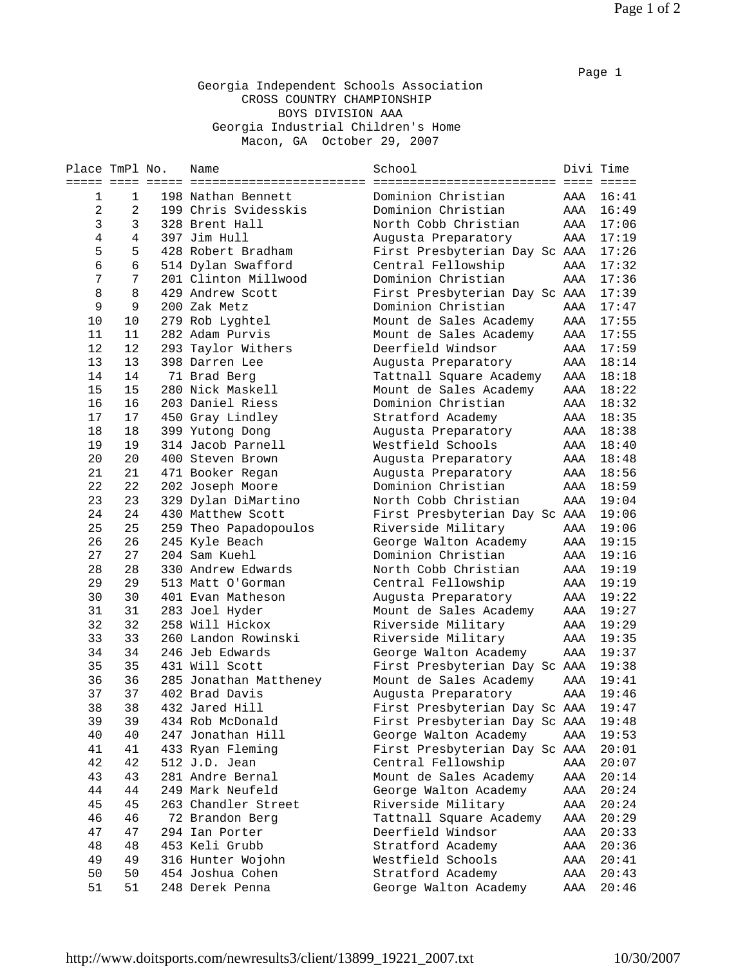## Georgia Independent Schools Association CROSS COUNTRY CHAMPIONSHIP BOYS DIVISION AAA Georgia Industrial Children's Home Macon, GA October 29, 2007

| Place TmPl No. |                | Name                                   | School                        | Divi Time |       |
|----------------|----------------|----------------------------------------|-------------------------------|-----------|-------|
|                |                |                                        |                               |           |       |
| 1              | 1              | 198 Nathan Bennett                     | Dominion Christian            | AAA       | 16:41 |
| $\overline{2}$ | $\overline{a}$ | 199 Chris Svidesskis                   | Dominion Christian            | AAA       | 16:49 |
| 3              | 3              | 328 Brent Hall                         | North Cobb Christian          | AAA       | 17:06 |
| $\,4$          | $\overline{4}$ | 397 Jim Hull                           | Augusta Preparatory           | AAA       | 17:19 |
| 5              | 5              | 428 Robert Bradham                     | First Presbyterian Day Sc AAA |           | 17:26 |
| 6              | 6              | 514 Dylan Swafford                     | Central Fellowship            | AAA       | 17:32 |
| 7              | 7              | 201 Clinton Millwood                   | Dominion Christian            | AAA       | 17:36 |
| 8              | 8              | 429 Andrew Scott                       | First Presbyterian Day Sc AAA |           | 17:39 |
| 9              | 9              | 200 Zak Metz                           | Dominion Christian            | AAA       | 17:47 |
| 10             | 10             | 279 Rob Lyghtel                        | Mount de Sales Academy        | AAA       | 17:55 |
| 11             | 11             | 282 Adam Purvis                        | Mount de Sales Academy        | AAA       | 17:55 |
| 12             | 12             | 293 Taylor Withers                     | Deerfield Windsor             | AAA       | 17:59 |
| 13             | 13             | 398 Darren Lee                         | Augusta Preparatory           | AAA       | 18:14 |
| 14             | 14             | 71 Brad Berg                           | Tattnall Square Academy       | AAA       | 18:18 |
| 15             | 15             | 280 Nick Maskell                       | Mount de Sales Academy        | AAA       | 18:22 |
| 16             | 16             | 203 Daniel Riess                       | Dominion Christian            | AAA       | 18:32 |
| 17             | 17             | 450 Gray Lindley                       | Stratford Academy             | AAA       | 18:35 |
| 18             | 18             | 399 Yutong Dong                        | Augusta Preparatory           | AAA       | 18:38 |
| 19             | 19             | 314 Jacob Parnell                      | Westfield Schools             | AAA       | 18:40 |
| 20             | 20             | 400 Steven Brown                       | Augusta Preparatory           | AAA       | 18:48 |
| 21             | 21             | 471 Booker Regan                       | Augusta Preparatory           | AAA       | 18:56 |
| 22             | 22             | 202 Joseph Moore                       | Dominion Christian            | AAA       | 18:59 |
| 23             | 23             | 329 Dylan DiMartino                    | North Cobb Christian          | AAA       | 19:04 |
| 24             | 24             | 430 Matthew Scott                      | First Presbyterian Day Sc AAA |           | 19:06 |
| 25             | 25             | 259 Theo Papadopoulos                  | Riverside Military            | AAA       | 19:06 |
| 26             | 26             | 245 Kyle Beach                         | George Walton Academy         | AAA       | 19:15 |
| 27             | 27             | 204 Sam Kuehl                          | Dominion Christian            | AAA       | 19:16 |
| 28             | 28             | 330 Andrew Edwards                     | North Cobb Christian          | AAA       | 19:19 |
| 29             | 29             | 513 Matt O'Gorman                      | Central Fellowship            | AAA       | 19:19 |
| 30             | 30             | 401 Evan Matheson                      |                               | AAA       | 19:22 |
| 31             | 31             |                                        | Augusta Preparatory           | AAA       | 19:27 |
| 32             | 32             | 283 Joel Hyder<br>258 Will Hickox      | Mount de Sales Academy        |           | 19:29 |
|                |                |                                        | Riverside Military            | AAA       |       |
| 33             | 33             | 260 Landon Rowinski<br>246 Jeb Edwards | Riverside Military            | AAA       | 19:35 |
| 34             | 34             |                                        | George Walton Academy         | AAA       | 19:37 |
| 35             | 35             | 431 Will Scott                         | First Presbyterian Day Sc AAA |           | 19:38 |
| 36             | 36             | 285 Jonathan Mattheney                 | Mount de Sales Academy        | AAA       | 19:41 |
| 37             | 37             | 402 Brad Davis                         | Augusta Preparatory           | AAA       | 19:46 |
| 38             | 38             | 432 Jared Hill                         | First Presbyterian Day Sc AAA |           | 19:47 |
| 39             | 39             | 434 Rob McDonald                       | First Presbyterian Day Sc AAA |           | 19:48 |
| 40             | 40             | 247 Jonathan Hill                      | George Walton Academy         | AAA       | 19:53 |
| 41             | 41             | 433 Ryan Fleming                       | First Presbyterian Day Sc AAA |           | 20:01 |
| 42             | 42             | 512 J.D. Jean                          | Central Fellowship            | AAA       | 20:07 |
| 43             | 43             | 281 Andre Bernal                       | Mount de Sales Academy        | AAA       | 20:14 |
| 44             | 44             | 249 Mark Neufeld                       | George Walton Academy         | AAA       | 20:24 |
| 45             | 45             | 263 Chandler Street                    | Riverside Military            | AAA       | 20:24 |
| 46             | 46             | 72 Brandon Berg                        | Tattnall Square Academy       | AAA       | 20:29 |
| 47             | 47             | 294 Ian Porter                         | Deerfield Windsor             | AAA       | 20:33 |
| 48             | 48             | 453 Keli Grubb                         | Stratford Academy             | AAA       | 20:36 |
| 49             | 49             | 316 Hunter Wojohn                      | Westfield Schools             | AAA       | 20:41 |
| 50             | 50             | 454 Joshua Cohen                       | Stratford Academy             | AAA       | 20:43 |
| 51             | 51             | 248 Derek Penna                        | George Walton Academy         | AAA       | 20:46 |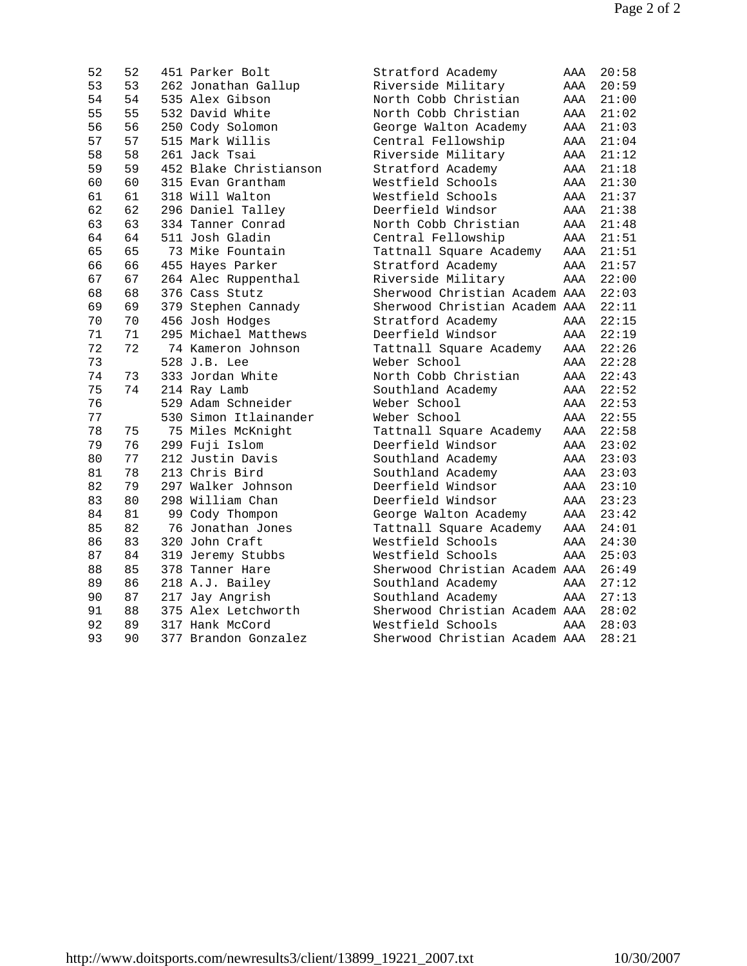| 52 | 52 | 451 Parker Bolt        | Stratford Academy             | AAA | 20:58 |
|----|----|------------------------|-------------------------------|-----|-------|
| 53 | 53 | 262 Jonathan Gallup    | Riverside Military            | AAA | 20:59 |
| 54 | 54 | 535 Alex Gibson        | North Cobb Christian          | AAA | 21:00 |
| 55 | 55 | 532 David White        | North Cobb Christian          | AAA | 21:02 |
| 56 | 56 | 250 Cody Solomon       | George Walton Academy         | AAA | 21:03 |
| 57 | 57 | 515 Mark Willis        | Central Fellowship            | AAA | 21:04 |
| 58 | 58 | 261 Jack Tsai          | Riverside Military            | AAA | 21:12 |
| 59 | 59 | 452 Blake Christianson | Stratford Academy             | AAA | 21:18 |
| 60 | 60 | 315 Evan Grantham      | Westfield Schools             | AAA | 21:30 |
| 61 | 61 | 318 Will Walton        | Westfield Schools             | AAA | 21:37 |
| 62 | 62 | 296 Daniel Talley      | Deerfield Windsor             | AAA | 21:38 |
| 63 | 63 | 334 Tanner Conrad      | North Cobb Christian          | AAA | 21:48 |
| 64 | 64 | 511 Josh Gladin        | Central Fellowship            | AAA | 21:51 |
| 65 | 65 | 73 Mike Fountain       | Tattnall Square Academy       | AAA | 21:51 |
| 66 | 66 | 455 Hayes Parker       | Stratford Academy             | AAA | 21:57 |
| 67 | 67 | 264 Alec Ruppenthal    | Riverside Military            | AAA | 22:00 |
| 68 | 68 | 376 Cass Stutz         | Sherwood Christian Academ AAA |     | 22:03 |
| 69 | 69 | 379 Stephen Cannady    | Sherwood Christian Academ AAA |     | 22:11 |
| 70 | 70 | 456 Josh Hodges        | Stratford Academy             | AAA | 22:15 |
| 71 | 71 | 295 Michael Matthews   | Deerfield Windsor             | AAA | 22:19 |
| 72 | 72 | 74 Kameron Johnson     | Tattnall Square Academy       | AAA | 22:26 |
| 73 |    | 528 J.B. Lee           | Weber School                  | AAA | 22:28 |
| 74 | 73 | 333 Jordan White       | North Cobb Christian          | AAA | 22:43 |
| 75 | 74 | 214 Ray Lamb           | Southland Academy             | AAA | 22:52 |
| 76 |    | 529 Adam Schneider     | Weber School                  | AAA | 22:53 |
| 77 |    | 530 Simon Itlainander  | Weber School                  | AAA | 22:55 |
| 78 | 75 | 75 Miles McKnight      | Tattnall Square Academy       | AAA | 22:58 |
| 79 | 76 | 299 Fuji Islom         | Deerfield Windsor             | AAA | 23:02 |
| 80 | 77 | 212 Justin Davis       | Southland Academy             | AAA | 23:03 |
| 81 | 78 | 213 Chris Bird         | Southland Academy             | AAA | 23:03 |
| 82 | 79 | 297 Walker Johnson     | Deerfield Windsor             | AAA | 23:10 |
| 83 | 80 | 298 William Chan       | Deerfield Windsor             | AAA | 23:23 |
| 84 | 81 | 99 Cody Thompon        | George Walton Academy         | AAA | 23:42 |
| 85 | 82 | 76 Jonathan Jones      | Tattnall Square Academy       | AAA | 24:01 |
| 86 | 83 | 320 John Craft         | Westfield Schools             | AAA | 24:30 |
| 87 | 84 | 319 Jeremy Stubbs      | Westfield Schools             | AAA | 25:03 |
| 88 | 85 | 378 Tanner Hare        | Sherwood Christian Academ AAA |     | 26:49 |
| 89 | 86 | 218 A.J. Bailey        | Southland Academy             | AAA | 27:12 |
| 90 | 87 | 217 Jay Angrish        | Southland Academy             | AAA | 27:13 |
| 91 | 88 | 375 Alex Letchworth    | Sherwood Christian Academ AAA |     | 28:02 |
| 92 | 89 | 317 Hank McCord        | Westfield Schools             | AAA | 28:03 |
| 93 | 90 | 377 Brandon Gonzalez   | Sherwood Christian Academ AAA |     | 28:21 |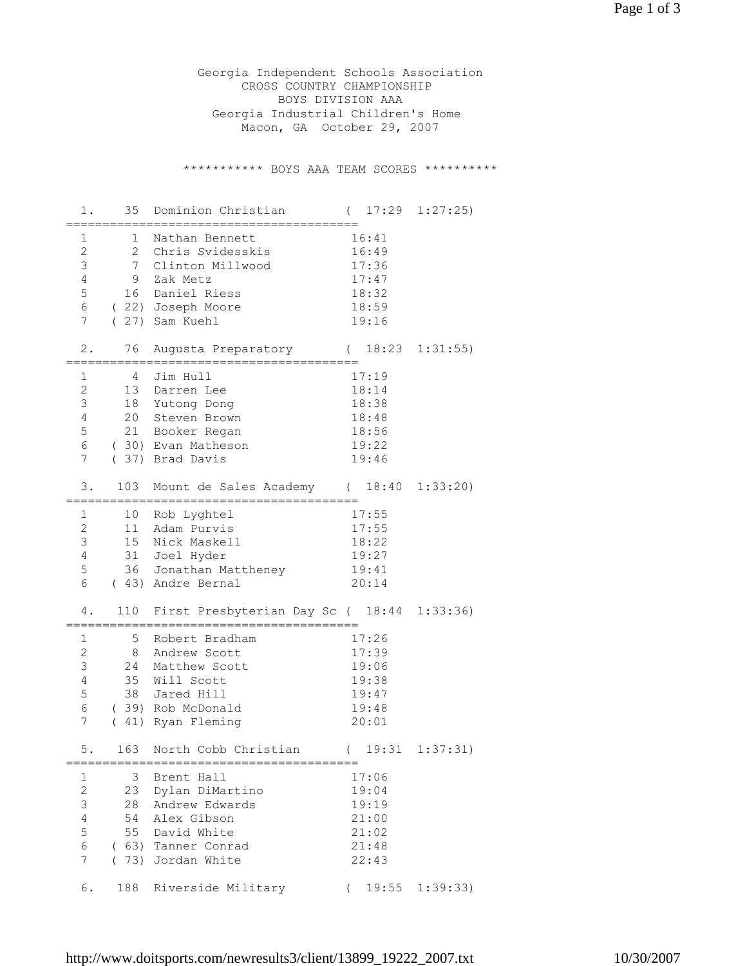Georgia Independent Schools Association CROSS COUNTRY CHAMPIONSHIP BOYS DIVISION AAA Georgia Industrial Children's Home Macon, GA October 29, 2007

\*\*\*\*\*\*\*\*\*\*\* BOYS AAA TEAM SCORES \*\*\*\*\*\*\*\*\*\*

| 1.                             | 35       | Dominion Christian                         | $\left($          | $17:29$ $1:27:25$ |
|--------------------------------|----------|--------------------------------------------|-------------------|-------------------|
| 1                              | 1        | Nathan Bennett                             | 16:41             |                   |
| $\mathbf{2}$                   |          | 2 Chris Svidesskis                         | 16:49             |                   |
| $\mathsf 3$                    |          | 7 Clinton Millwood                         | 17:36             |                   |
| $\overline{4}$                 | 9        | Zak Metz                                   | 17:47             |                   |
| 5                              | 16       | Daniel Riess                               | 18:32             |                   |
| 6                              |          | (22) Joseph Moore                          | 18:59             |                   |
| $7\phantom{.0}$                |          | (27) Sam Kuehl                             | 19:16             |                   |
|                                |          |                                            |                   |                   |
| $2$ .                          | 76       | Augusta Preparatory                        | (18:23)           | 1:31:55)          |
| 1                              | 4        | =========================<br>Jim Hull      | 17:19             |                   |
| $\mathbf{2}$                   | 13       | Darren Lee                                 | 18:14             |                   |
| 3                              |          |                                            |                   |                   |
| 4                              | 18<br>20 | Yutong Dong                                | 18:38             |                   |
|                                |          | Steven Brown                               | 18:48             |                   |
| 5                              | 21       | Booker Regan                               | 18:56             |                   |
| 6                              |          | (30) Evan Matheson                         | 19:22             |                   |
| 7                              |          | (37) Brad Davis                            | 19:46             |                   |
| 3.                             |          | 103 Mount de Sales Academy (18:40          |                   | 1:33:20           |
|                                |          | ==========                                 |                   |                   |
| 1                              | 10       | Rob Lyghtel<br>Adam Purvis                 | 17:55             |                   |
| $\mathbf{2}$<br>$\mathfrak{Z}$ | 11       |                                            | 17:55             |                   |
|                                | 15       | Nick Maskell                               | 18:22             |                   |
| $\overline{4}$                 |          | 31 Joel Hyder                              | 19:27             |                   |
| $\mathsf S$                    |          | 36 Jonathan Mattheney                      | 19:41             |                   |
| $\epsilon$                     |          | (43) Andre Bernal                          | 20:14             |                   |
| 4.                             | 110      | First Presbyterian Day Sc ( 18:44 1:33:36) |                   |                   |
| 1                              | 5        | ============<br>Robert Bradham             | 17:26             |                   |
| $\mathbf{2}$                   | 8        | Andrew Scott                               | 17:39             |                   |
| 3                              | 24       | Matthew Scott                              | 19:06             |                   |
| $\overline{4}$                 | 35       | Will Scott                                 | 19:38             |                   |
| $\mathsf S$                    |          | 38 Jared Hill                              | 19:47             |                   |
| $\epsilon$                     |          | (39) Rob McDonald                          | 19:48             |                   |
| 7                              |          | (41) Ryan Fleming                          | 20:01             |                   |
|                                |          |                                            |                   |                   |
| 5                              |          | 163 North Cobb Christian (19:31)           |                   | 1:37:31)          |
| 1                              |          | 3 Brent Hall                               | 17:06             |                   |
| $\overline{c}$                 |          | 23 Dylan DiMartino                         | 19:04             |                   |
| 3                              |          | 28 Andrew Edwards                          | 19:19             |                   |
| $\overline{4}$                 |          | 54 Alex Gibson                             | 21:00             |                   |
| $\mathsf S$                    |          | 55 David White                             | 21:02             |                   |
| 6                              |          | (63) Tanner Conrad                         | 21:48             |                   |
| 7                              |          | (73) Jordan White                          | 22:43             |                   |
|                                |          |                                            |                   |                   |
| 6.                             |          | 188 Riverside Military                     | 19:55<br>$\left($ | 1:39:33)          |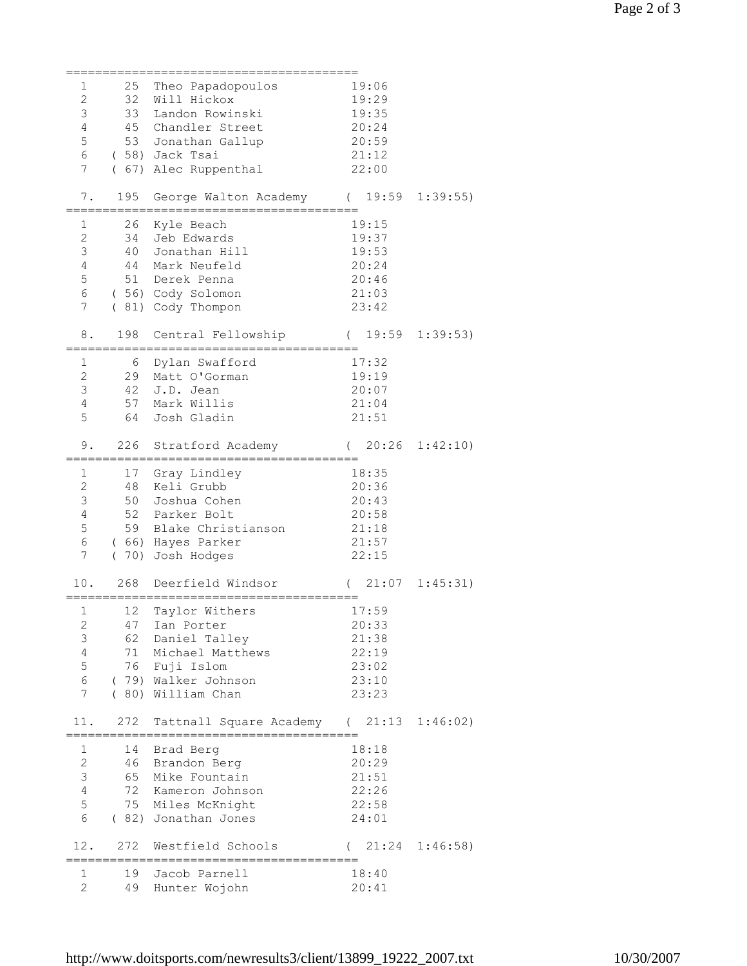| 1                 | 25            | Theo Papadopoulos                                            | 19:06               |          |
|-------------------|---------------|--------------------------------------------------------------|---------------------|----------|
| $\mathbf{2}$      |               | 32 Will Hickox                                               | 19:29               |          |
| 3                 | 33            | Landon Rowinski                                              | 19:35               |          |
| $\overline{4}$    |               | 45 Chandler Street                                           | 20:24               |          |
| 5                 |               | 53 Jonathan Gallup                                           | 20:59               |          |
| $6\phantom{.0}$   |               |                                                              |                     |          |
|                   |               | (58) Jack Tsai                                               | 21:12               |          |
| $\overline{7}$    |               | ( 67) Alec Ruppenthal                                        | 22:00               |          |
|                   |               |                                                              |                     |          |
| 7.                | 195           | George Walton Academy (19:59<br>____________________________ |                     | 1:39:55  |
| ========          |               |                                                              |                     |          |
| 1<br>$\mathbf{2}$ | 26            | Kyle Beach                                                   | 19:15               |          |
| 3                 |               | 34 Jeb Edwards<br>40 Jonathan Hill                           | 19:37               |          |
| $\overline{4}$    |               |                                                              | 19:53               |          |
| 5                 |               | 44 Mark Neufeld                                              | 20:24               |          |
|                   |               | 51 Derek Penna                                               | 20:46               |          |
| $6\phantom{.0}$   |               | (56) Cody Solomon                                            | 21:03               |          |
| $\overline{7}$    |               | (81) Cody Thompon                                            | 23:42               |          |
|                   |               |                                                              |                     |          |
| 8.                |               | 198 Central Fellowship (19:59                                |                     | 1:39:53) |
|                   |               |                                                              |                     |          |
| $\mathbf 1$       | 6             | Dylan Swafford                                               | 17:32               |          |
| $\overline{c}$    |               | 29 Matt O'Gorman                                             | 19:19               |          |
| 3                 |               | 42 J.D. Jean                                                 | 20:07               |          |
| $\overline{4}$    |               | 57 Mark Willis                                               | 21:04               |          |
| 5                 |               | 64 Josh Gladin                                               | 21:51               |          |
|                   |               |                                                              |                     |          |
| 9.                | 226           | Stratford Academy                                            | $(20:26 \t1:42:10)$ |          |
|                   | ============= | .--------------------------                                  |                     |          |
| 1                 | 17            | Gray Lindley                                                 | 18:35               |          |
| $\mathbf{2}$      | 48            | Keli Grubb                                                   | 20:36               |          |
| 3                 |               | 50 Joshua Cohen                                              | 20:43               |          |
| $\overline{4}$    |               | 52 Parker Bolt                                               | 20:58               |          |
| 5                 |               | 59 Blake Christianson                                        | 21:18               |          |
| 6                 |               | (66) Hayes Parker                                            | 21:57               |          |
| 7                 |               | (70) Josh Hodges                                             | 22:15               |          |
|                   |               |                                                              |                     |          |
| 10.               | 268           | Deerfield Windsor                                            | (21:07)             | 1:45:31) |
|                   |               |                                                              |                     |          |
| 1                 | 12            | Taylor Withers                                               | 17:59               |          |
| $\mathbf 2$       | 47            | Ian Porter                                                   | 20:33               |          |
| 3                 | 62            | Daniel Talley                                                | 21:38               |          |
| $\overline{4}$    | 71            | Michael Matthews                                             | 22:19               |          |
| 5                 |               | 76 Fuji Islom                                                | 23:02               |          |
| 6                 |               | (79) Walker Johnson                                          | 23:10               |          |
| 7                 |               | (80) William Chan                                            | 23:23               |          |
|                   |               |                                                              |                     |          |
| 11.               | 272           | Tattnall Square Academy                                      | (21:13)             | 1:46:02) |
|                   |               |                                                              |                     |          |
| 1                 | 14            | Brad Berg                                                    | 18:18               |          |
| $\mathbf{2}$      | 46            | Brandon Berg                                                 | 20:29               |          |
| 3                 | 65            | Mike Fountain                                                | 21:51               |          |
| $\overline{4}$    | 72            | Kameron Johnson                                              | 22:26               |          |
| 5                 |               | 75 Miles McKnight                                            | 22:58               |          |
| 6                 |               | (82) Jonathan Jones                                          | 24:01               |          |
|                   |               |                                                              |                     |          |
| 12.               | 272           | Westfield Schools                                            | 21:24               | 1:46:58) |
|                   |               |                                                              |                     |          |
| 1<br>2            | 19            | Jacob Parnell                                                | 18:40               |          |
|                   | 49            | Hunter Wojohn                                                | 20:41               |          |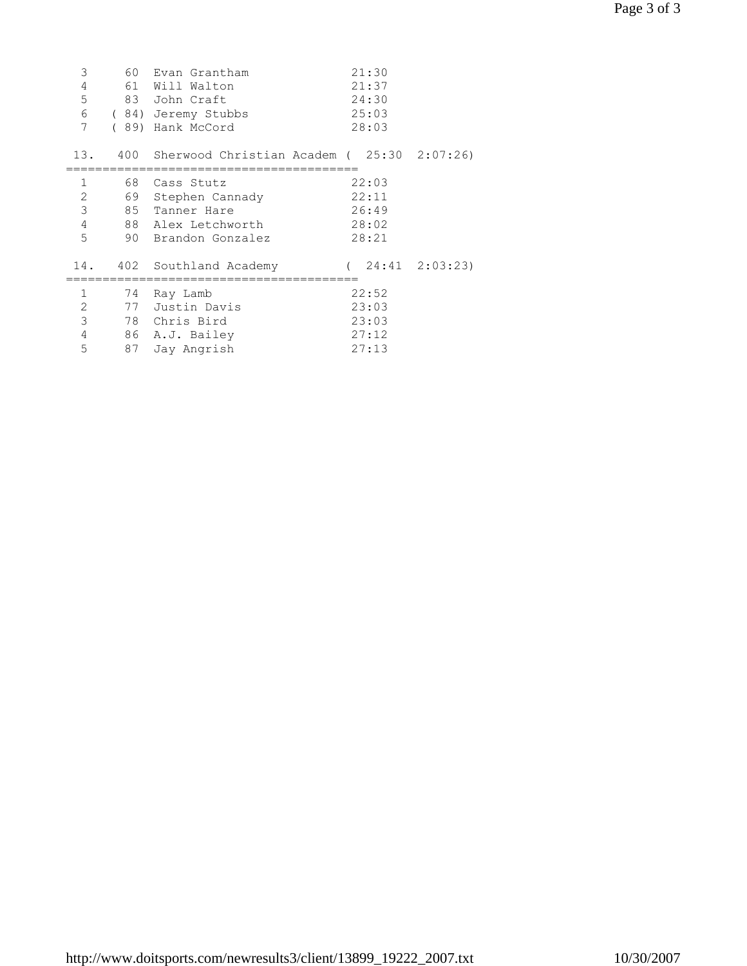| 3<br>4<br>5<br>7                           | 60 | Evan Grantham<br>61 Will Walton<br>83 John Craft<br>6 (84) Jeremy Stubbs<br>(89) Hank McCord       | 21:30<br>21:37<br>24:30<br>25:03<br>28:03 |  |
|--------------------------------------------|----|----------------------------------------------------------------------------------------------------|-------------------------------------------|--|
| 13.                                        |    | 400 Sherwood Christian Academ ( $25:30$ $2:07:26$ )                                                |                                           |  |
| $\mathbf{1}$<br>2<br>3<br>4<br>5           |    | 68 Cass Stutz<br>69 Stephen Cannady<br>85 Tanner Hare<br>88 Alex Letchworth<br>90 Brandon Gonzalez | 22:03<br>22:11<br>26:49<br>28:02<br>28:21 |  |
| 14.                                        |    | 402 Southland Academy                                                                              | $(24:41 \t2:03:23)$                       |  |
| $\mathbf{1}$<br>2<br>$\mathsf 3$<br>4<br>5 | 74 | Ray Lamb<br>77 Justin Davis<br>78 Chris Bird<br>86 A.J. Bailey<br>87 Jay Angrish                   | 22:52<br>23:03<br>23:03<br>27:12<br>27:13 |  |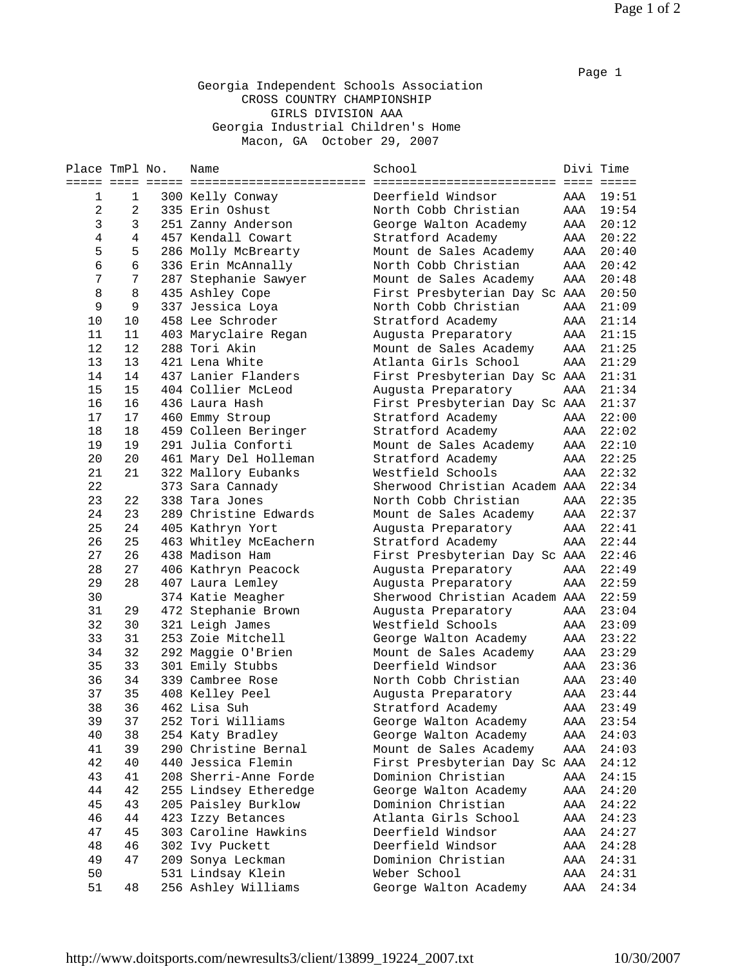## Georgia Independent Schools Association CROSS COUNTRY CHAMPIONSHIP GIRLS DIVISION AAA Georgia Industrial Children's Home Macon, GA October 29, 2007

| Place TmPl No. |                | Name                              | School                        |     | Divi Time |
|----------------|----------------|-----------------------------------|-------------------------------|-----|-----------|
| ===== ====     |                | _________________________________ |                               |     |           |
| 1              | 1              | 300 Kelly Conway                  | Deerfield Windsor             | AAA | 19:51     |
| 2              | 2              | 335 Erin Oshust                   | North Cobb Christian          | AAA | 19:54     |
| 3              | 3              | 251 Zanny Anderson                | George Walton Academy         | AAA | 20:12     |
| $\overline{4}$ | $\overline{4}$ | 457 Kendall Cowart                | Stratford Academy             | AAA | 20:22     |
| 5              | 5              | 286 Molly McBrearty               | Mount de Sales Academy        | AAA | 20:40     |
| $\epsilon$     | $\sqrt{6}$     | 336 Erin McAnnally                | North Cobb Christian          | AAA | 20:42     |
| 7              | 7              | 287 Stephanie Sawyer              | Mount de Sales Academy        | AAA | 20:48     |
| 8              | 8              | 435 Ashley Cope                   | First Presbyterian Day Sc AAA |     | 20:50     |
| 9              | 9              | 337 Jessica Loya                  | North Cobb Christian          | AAA | 21:09     |
| 10             | 10             | 458 Lee Schroder                  | Stratford Academy             | AAA | 21:14     |
| 11             | 11             | 403 Maryclaire Regan              | Augusta Preparatory           | AAA | 21:15     |
| 12             | 12             | 288 Tori Akin                     | Mount de Sales Academy        | AAA | 21:25     |
| 13             | 13             | 421 Lena White                    | Atlanta Girls School          | AAA | 21:29     |
| 14             | 14             | 437 Lanier Flanders               | First Presbyterian Day Sc AAA |     | 21:31     |
| 15             | 15             | 404 Collier McLeod                | Augusta Preparatory           | AAA | 21:34     |
| 16             | 16             | 436 Laura Hash                    | First Presbyterian Day Sc AAA |     | 21:37     |
| 17             | 17             | 460 Emmy Stroup                   | Stratford Academy             | AAA | 22:00     |
| 18             | 18             | 459 Colleen Beringer              | Stratford Academy             | AAA | 22:02     |
| 19             | 19             | 291 Julia Conforti                | Mount de Sales Academy        | AAA | 22:10     |
| 20             | 20             | 461 Mary Del Holleman             | Stratford Academy             | AAA | 22:25     |
| 21             | 21             | 322 Mallory Eubanks               | Westfield Schools             | AAA | 22:32     |
| 22             |                | 373 Sara Cannady                  | Sherwood Christian Academ AAA |     | 22:34     |
| 23             | 22             | 338 Tara Jones                    | North Cobb Christian          | AAA | 22:35     |
| 24             | 23             | 289 Christine Edwards             | Mount de Sales Academy        | AAA | 22:37     |
| 25             | 24             | 405 Kathryn Yort                  | Augusta Preparatory           | AAA | 22:41     |
| 26             | 25             | 463 Whitley McEachern             | Stratford Academy             | AAA | 22:44     |
| 27             | 26             | 438 Madison Ham                   | First Presbyterian Day Sc AAA |     | 22:46     |
| 28             | 27             | 406 Kathryn Peacock               | Augusta Preparatory           | AAA | 22:49     |
| 29             | 28             | 407 Laura Lemley                  | Augusta Preparatory           | AAA | 22:59     |
| 30             |                | 374 Katie Meagher                 | Sherwood Christian Academ AAA |     | 22:59     |
| 31             | 29             | 472 Stephanie Brown               | Augusta Preparatory           | AAA | 23:04     |
| 32             | 30             | 321 Leigh James                   | Westfield Schools             | AAA | 23:09     |
| 33             | 31             | 253 Zoie Mitchell                 | George Walton Academy         | AAA | 23:22     |
| 34             | 32             | 292 Maggie O'Brien                | Mount de Sales Academy        | AAA | 23:29     |
| 35             | 33             | 301 Emily Stubbs                  | Deerfield Windsor             | AAA | 23:36     |
| 36             | 34             | 339 Cambree Rose                  | North Cobb Christian          | AAA | 23:40     |
| 37             | 35             | 408 Kelley Peel                   | Augusta Preparatory           | AAA | 23:44     |
| 38             | 36             | 462 Lisa Suh                      | Stratford Academy             | AAA | 23:49     |
| 39             | 37             | 252 Tori Williams                 | George Walton Academy         | AAA | 23:54     |
| 40             | 38             | 254 Katy Bradley                  | George Walton Academy         | AAA | 24:03     |
| 41             | 39             | 290 Christine Bernal              | Mount de Sales Academy        | AAA | 24:03     |
| 42             | 40             | 440 Jessica Flemin                | First Presbyterian Day Sc AAA |     | 24:12     |
| 43             | 41             | 208 Sherri-Anne Forde             | Dominion Christian            | AAA | 24:15     |
| 44             | 42             | 255 Lindsey Etheredge             | George Walton Academy         | AAA | 24:20     |
| 45             | 43             | 205 Paisley Burklow               | Dominion Christian            | AAA | 24:22     |
| 46             | 44             | 423 Izzy Betances                 | Atlanta Girls School          | AAA | 24:23     |
| 47             | 45             | 303 Caroline Hawkins              | Deerfield Windsor             | AAA | 24:27     |
| 48             | 46             | 302 Ivy Puckett                   | Deerfield Windsor             | AAA | 24:28     |
| 49             | 47             | 209 Sonya Leckman                 | Dominion Christian            | AAA | 24:31     |
| 50             |                | 531 Lindsay Klein                 | Weber School                  | AAA | 24:31     |
| 51             | 48             | 256 Ashley Williams               | George Walton Academy         | AAA | 24:34     |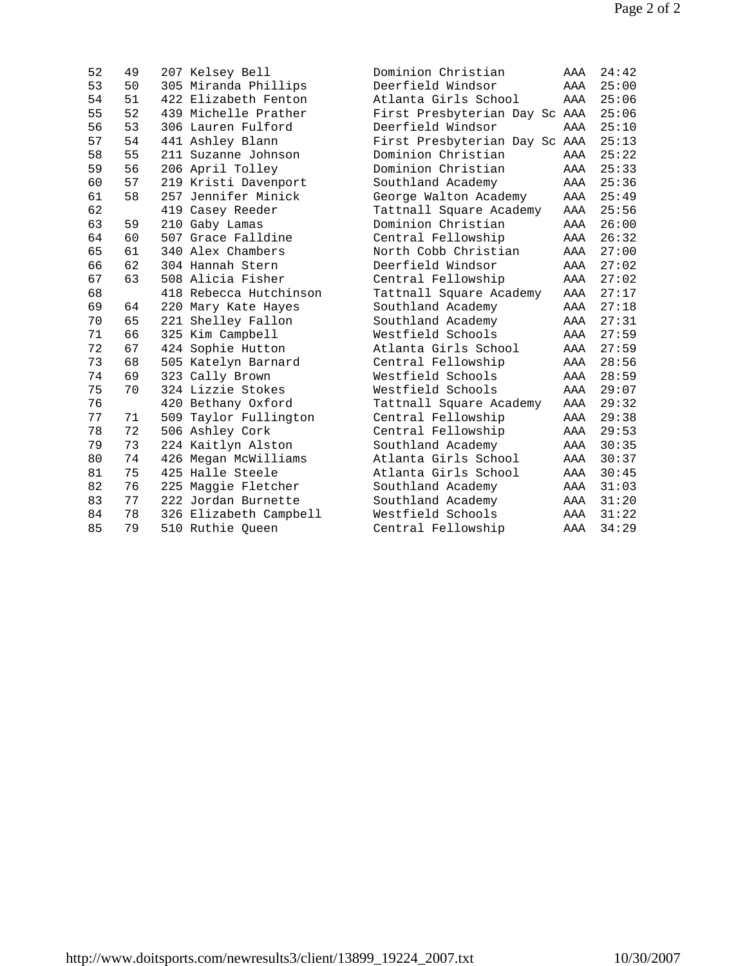| 52 | 49 | 207 Kelsey Bell        | Dominion Christian            | AAA | 24:42 |
|----|----|------------------------|-------------------------------|-----|-------|
| 53 | 50 | 305 Miranda Phillips   | Deerfield Windsor             | AAA | 25:00 |
| 54 | 51 | 422 Elizabeth Fenton   | Atlanta Girls School          | AAA | 25:06 |
| 55 | 52 | 439 Michelle Prather   | First Presbyterian Day Sc AAA |     | 25:06 |
| 56 | 53 | 306 Lauren Fulford     | Deerfield Windsor             | AAA | 25:10 |
| 57 | 54 | 441 Ashley Blann       | First Presbyterian Day Sc AAA |     | 25:13 |
| 58 | 55 | 211 Suzanne Johnson    | Dominion Christian            | AAA | 25:22 |
| 59 | 56 | 206 April Tolley       | Dominion Christian            | AAA | 25:33 |
| 60 | 57 | 219 Kristi Davenport   | Southland Academy             | AAA | 25:36 |
| 61 | 58 | 257 Jennifer Minick    | George Walton Academy         | AAA | 25:49 |
| 62 |    | 419 Casey Reeder       | Tattnall Square Academy       | AAA | 25:56 |
| 63 | 59 | 210 Gaby Lamas         | Dominion Christian            | AAA | 26:00 |
| 64 | 60 | 507 Grace Falldine     | Central Fellowship            | AAA | 26:32 |
| 65 | 61 | 340 Alex Chambers      | North Cobb Christian          | AAA | 27:00 |
| 66 | 62 | 304 Hannah Stern       | Deerfield Windsor             | AAA | 27:02 |
| 67 | 63 | 508 Alicia Fisher      | Central Fellowship            | AAA | 27:02 |
| 68 |    | 418 Rebecca Hutchinson | Tattnall Square Academy       | AAA | 27:17 |
| 69 | 64 | 220 Mary Kate Hayes    | Southland Academy             | AAA | 27:18 |
| 70 | 65 | 221 Shelley Fallon     | Southland Academy             | AAA | 27:31 |
| 71 | 66 | 325 Kim Campbell       | Westfield Schools             | AAA | 27:59 |
| 72 | 67 | 424 Sophie Hutton      | Atlanta Girls School          | AAA | 27:59 |
| 73 | 68 | 505 Katelyn Barnard    | Central Fellowship            | AAA | 28:56 |
| 74 | 69 | 323 Cally Brown        | Westfield Schools             | AAA | 28:59 |
| 75 | 70 | 324 Lizzie Stokes      | Westfield Schools             | AAA | 29:07 |
| 76 |    | 420 Bethany Oxford     | Tattnall Square Academy       | AAA | 29:32 |
| 77 | 71 | 509 Taylor Fullington  | Central Fellowship            | AAA | 29:38 |
| 78 | 72 | 506 Ashley Cork        | Central Fellowship            | AAA | 29:53 |
| 79 | 73 | 224 Kaitlyn Alston     | Southland Academy             | AAA | 30:35 |
| 80 | 74 | 426 Megan McWilliams   | Atlanta Girls School          | AAA | 30:37 |
| 81 | 75 | 425 Halle Steele       | Atlanta Girls School          | AAA | 30:45 |
| 82 | 76 | 225 Maggie Fletcher    | Southland Academy             | AAA | 31:03 |
| 83 | 77 | 222 Jordan Burnette    | Southland Academy             | AAA | 31:20 |
| 84 | 78 | 326 Elizabeth Campbell | Westfield Schools             | AAA | 31:22 |
| 85 | 79 | 510 Ruthie Queen       | Central Fellowship            | AAA | 34:29 |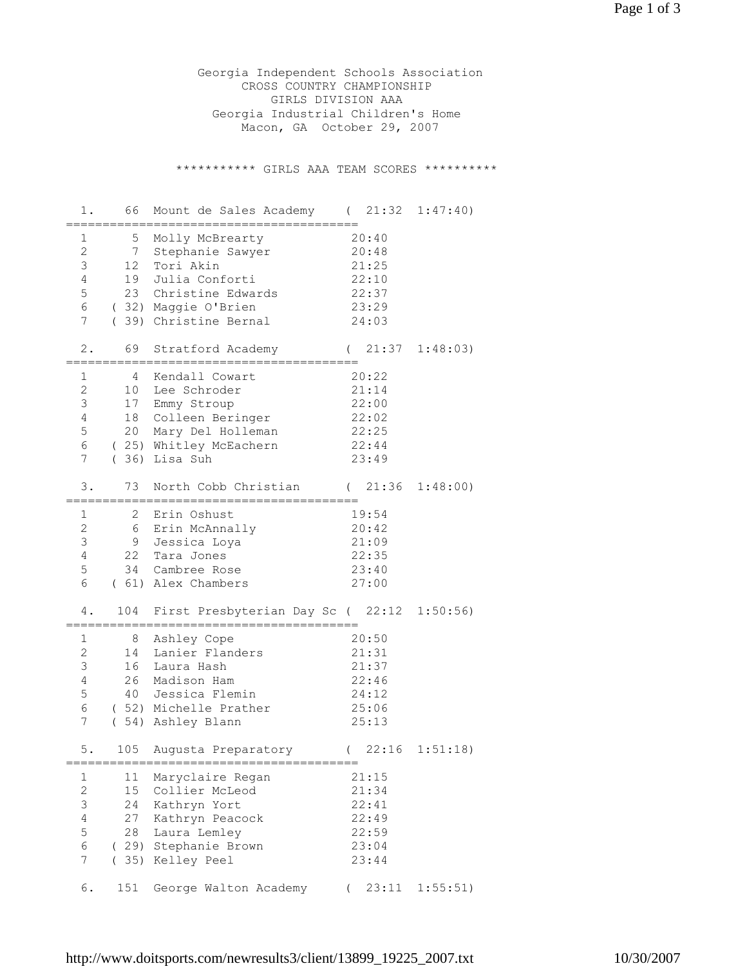Georgia Independent Schools Association CROSS COUNTRY CHAMPIONSHIP GIRLS DIVISION AAA Georgia Industrial Children's Home Macon, GA October 29, 2007

\*\*\*\*\*\*\*\*\*\*\* GIRLS AAA TEAM SCORES \*\*\*\*\*\*\*\*\*\*

| 1.                                                                                       | 66                              | Mount de Sales Academy (21:32                                                                                                                             |                                                                        | 1:47:40)          |
|------------------------------------------------------------------------------------------|---------------------------------|-----------------------------------------------------------------------------------------------------------------------------------------------------------|------------------------------------------------------------------------|-------------------|
| 1<br>$\mathbf{2}$<br>$\mathsf 3$<br>$\overline{4}$<br>5<br>6<br>7                        | 5<br>7<br>12<br>19<br>23        | Molly McBrearty<br>Stephanie Sawyer<br>Tori Akin<br>Julia Conforti<br>Christine Edwards<br>(32) Maggie O'Brien<br>(39) Christine Bernal                   | 20:40<br>20:48<br>21:25<br>22:10<br>22:37<br>23:29<br>24:03            |                   |
| $2$ .                                                                                    | 69                              | Stratford Academy                                                                                                                                         | (                                                                      | $21:37$ $1:48:03$ |
| 1<br>$\mathbf{2}$<br>3<br>$\overline{4}$<br>5<br>6<br>7                                  | 4<br>10<br>17                   | Kendall Cowart<br>Lee Schroder<br>Emmy Stroup<br>18 Colleen Beringer<br>20 Mary Del Holleman<br>(25) Whitley McEachern<br>$(36)$ Lisa Suh                 | 20:22<br>21:14<br>22:00<br>22:02<br>22:25<br>22:44<br>23:49            |                   |
| 3.                                                                                       | 73                              | North Cobb Christian                                                                                                                                      | (21:36)                                                                | 1:48:00)          |
| 1<br>$\overline{c}$<br>$\mathfrak{Z}$<br>$\overline{4}$<br>$\mathsf S$<br>6<br>4.        | $\mathbf{2}$<br>22<br>34<br>104 | Erin Oshust<br>6 Erin McAnnally<br>9 Jessica Loya<br>Tara Jones<br>Cambree Rose<br>(61) Alex Chambers<br>First Presbyterian Day Sc (22:12                 | 19:54<br>20:42<br>21:09<br>22:35<br>23:40<br>27:00                     | 1:50:56           |
| 1<br>$\overline{2}$<br>3<br>4<br>$\mathsf S$<br>6<br>7<br>5 <sub>1</sub>                 | $\,8\,$<br>14<br>16<br>26       | Ashley Cope<br>Lanier Flanders<br>Laura Hash<br>Madison Ham<br>40 Jessica Flemin<br>(52) Michelle Prather<br>(54) Ashley Blann<br>105 Augusta Preparatory | 20:50<br>21:31<br>21:37<br>22:46<br>24:12<br>25:06<br>25:13<br>(22:16) | 1:51:18)          |
| 1<br>$\mathbf{2}$<br>$\mathsf 3$<br>$\overline{4}$<br>$\mathsf S$<br>6<br>$\overline{7}$ | 11<br>$15$<br>24<br>27<br>28    | Maryclaire Regan<br>Collier McLeod<br>Kathryn Yort<br>Kathryn Peacock<br>Laura Lemley<br>(29) Stephanie Brown<br>(35) Kelley Peel                         | 21:15<br>21:34<br>22:41<br>22:49<br>22:59<br>23:04<br>23:44            |                   |
| 6.                                                                                       | 151                             | George Walton Academy                                                                                                                                     | 23:11<br>$\left($                                                      | 1:55:51)          |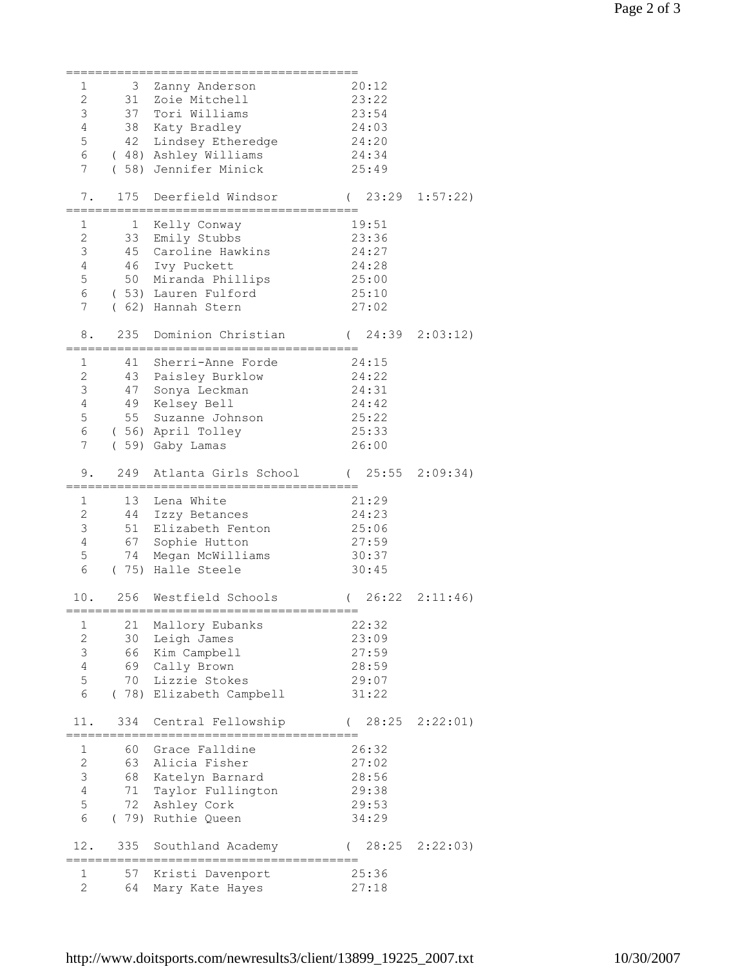| 1                   | 3        | Zanny Anderson                      | 20:12               |          |
|---------------------|----------|-------------------------------------|---------------------|----------|
| $\overline{c}$      |          | 31 Zoie Mitchell                    | 23:22               |          |
| $\mathsf 3$         |          | 37 Tori Williams                    | 23:54               |          |
| $\overline{4}$      |          | 38 Katy Bradley                     | 24:03               |          |
| 5                   |          | 42 Lindsey Etheredge                | 24:20               |          |
| 6                   |          | (48) Ashley Williams                | 24:34               |          |
| 7                   |          |                                     |                     |          |
|                     |          | (58) Jennifer Minick                | 25:49               |          |
| 7.                  | 175      | Deerfield Windsor                   | (23:29)             | 1:57:22) |
|                     |          | ;==========================         |                     |          |
| 1                   | 1        |                                     | 19:51               |          |
| $\overline{c}$      |          | Kelly Conway<br>33 Emily Stubbs     | 23:36               |          |
| 3                   |          | 45 Caroline Hawkins                 | 24:27               |          |
| $\overline{4}$      |          | 46 Ivy Puckett                      | 24:28               |          |
| 5                   |          | 50 Miranda Phillips                 | 25:00               |          |
| 6                   |          |                                     |                     |          |
|                     |          | (53) Lauren Fulford                 | 25:10               |          |
| 7                   |          | (62) Hannah Stern                   | 27:02               |          |
|                     | 235      |                                     |                     |          |
| 8.                  |          | Dominion Christian                  | $(24:39 \t2:03:12)$ |          |
|                     |          |                                     |                     |          |
| 1                   | 41       | Sherri-Anne Forde                   | 24:15               |          |
| $\mathbf{2}$        |          | 43 Paisley Burklow                  | 24:22               |          |
| 3                   | 47       | Sonya Leckman                       | 24:31               |          |
| $\overline{4}$      |          | 49 Kelsey Bell                      | 24:42               |          |
| 5                   |          | 55 Suzanne Johnson                  | 25:22               |          |
| 6                   |          | (56) April Tolley                   | 25:33               |          |
| 7                   |          | (59) Gaby Lamas                     | 26:00               |          |
|                     |          |                                     |                     |          |
| 9.                  | 249      | Atlanta Girls School                | $(25:55 \t2:09:34)$ |          |
|                     |          |                                     |                     |          |
|                     |          |                                     |                     |          |
| 1                   | 13       | Lena White                          | 21:29               |          |
| $\mathbf{2}$        | 44       | Izzy Betances                       | 24:23               |          |
| 3                   |          | 51 Elizabeth Fenton                 | 25:06               |          |
| $\overline{4}$      |          | 67 Sophie Hutton                    | 27:59               |          |
| 5                   |          | 74 Megan McWilliams                 | 30:37               |          |
| 6                   |          | (75) Halle Steele                   | 30:45               |          |
|                     |          |                                     |                     |          |
| 10.                 | 256      | Westfield Schools                   | 26:22<br>$\left($   | 2:11:46  |
|                     |          |                                     |                     |          |
| 1                   | 21       | Mallory Eubanks                     | 22:32               |          |
| $\overline{c}$      | 30       | Leigh James                         | 23:09               |          |
| 3                   | 66       | Kim Campbell                        | 27:59               |          |
| $\overline{4}$      | 69       | Cally Brown                         | 28:59               |          |
| 5                   | 70       | Lizzie Stokes                       | 29:07               |          |
| 6                   |          | (78) Elizabeth Campbell             | 31:22               |          |
|                     |          |                                     |                     |          |
| 11.                 | 334      | Central Fellowship                  | 28:25<br>$\left($   | 2:22:01) |
|                     |          |                                     |                     |          |
| 1                   | 60       | Grace Falldine                      | 26:32               |          |
| $\overline{c}$      | 63       | Alicia Fisher                       | 27:02               |          |
| $\mathsf 3$         | 68       | Katelyn Barnard                     | 28:56               |          |
| $\overline{4}$      | 71       | Taylor Fullington                   | 29:38               |          |
| 5                   | 72       | Ashley Cork                         | 29:53               |          |
| 6                   |          | (79) Ruthie Queen                   | 34:29               |          |
|                     |          |                                     |                     |          |
| 12.                 | 335      | Southland Academy                   | 28:25               | 2:22:03) |
|                     |          |                                     |                     |          |
| 1<br>$\overline{2}$ | 57<br>64 | Kristi Davenport<br>Mary Kate Hayes | 25:36<br>27:18      |          |